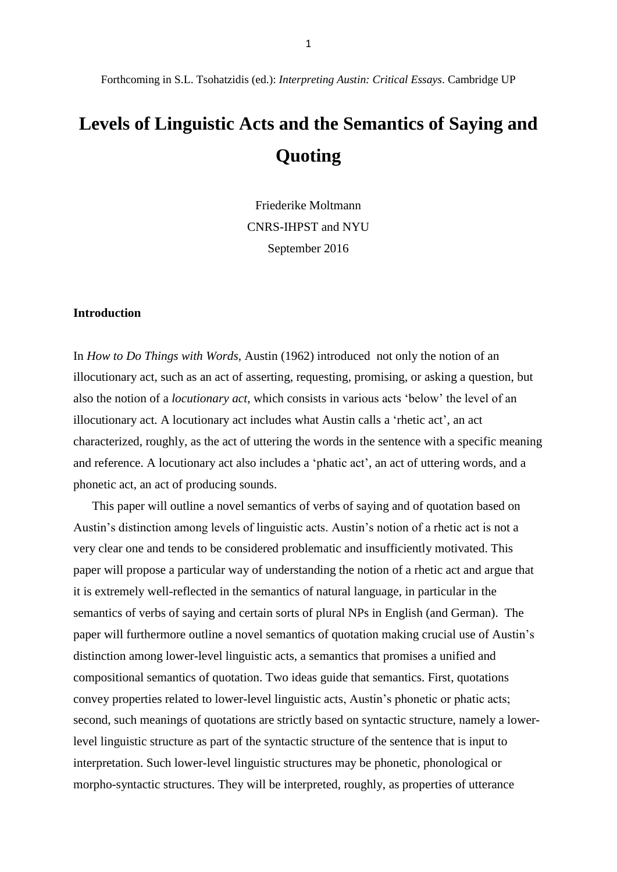# **Levels of Linguistic Acts and the Semantics of Saying and Quoting**

Friederike Moltmann CNRS-IHPST and NYU September 2016

# **Introduction**

In *How to Do Things with Words*, Austin (1962) introduced not only the notion of an illocutionary act, such as an act of asserting, requesting, promising, or asking a question, but also the notion of a *locutionary act*, which consists in various acts 'below' the level of an illocutionary act. A locutionary act includes what Austin calls a 'rhetic act', an act characterized, roughly, as the act of uttering the words in the sentence with a specific meaning and reference. A locutionary act also includes a 'phatic act', an act of uttering words, and a phonetic act, an act of producing sounds.

 This paper will outline a novel semantics of verbs of saying and of quotation based on Austin's distinction among levels of linguistic acts. Austin's notion of a rhetic act is not a very clear one and tends to be considered problematic and insufficiently motivated. This paper will propose a particular way of understanding the notion of a rhetic act and argue that it is extremely well-reflected in the semantics of natural language, in particular in the semantics of verbs of saying and certain sorts of plural NPs in English (and German). The paper will furthermore outline a novel semantics of quotation making crucial use of Austin's distinction among lower-level linguistic acts, a semantics that promises a unified and compositional semantics of quotation. Two ideas guide that semantics. First, quotations convey properties related to lower-level linguistic acts, Austin's phonetic or phatic acts; second, such meanings of quotations are strictly based on syntactic structure, namely a lowerlevel linguistic structure as part of the syntactic structure of the sentence that is input to interpretation. Such lower-level linguistic structures may be phonetic, phonological or morpho-syntactic structures. They will be interpreted, roughly, as properties of utterance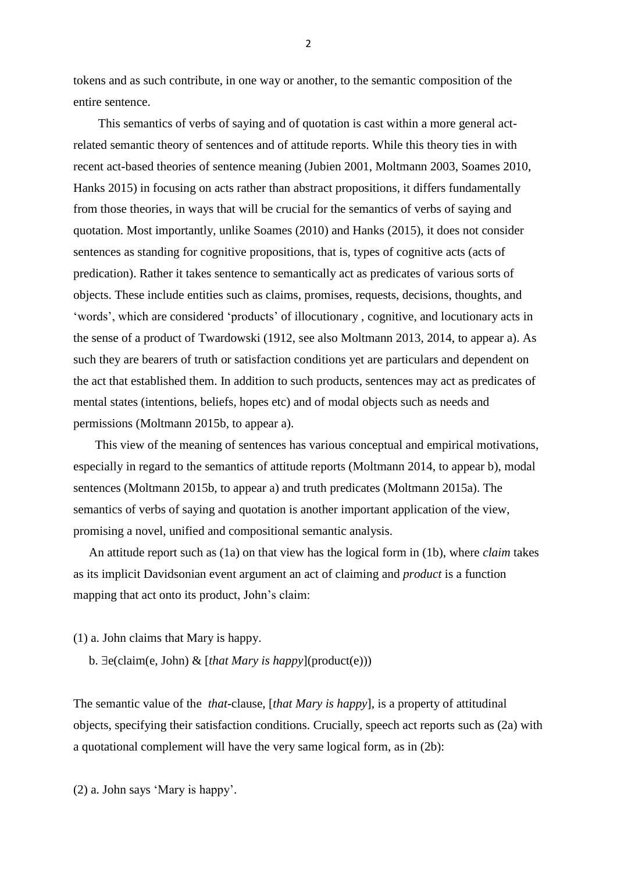tokens and as such contribute, in one way or another, to the semantic composition of the entire sentence.

 This semantics of verbs of saying and of quotation is cast within a more general actrelated semantic theory of sentences and of attitude reports. While this theory ties in with recent act-based theories of sentence meaning (Jubien 2001, Moltmann 2003, Soames 2010, Hanks 2015) in focusing on acts rather than abstract propositions, it differs fundamentally from those theories, in ways that will be crucial for the semantics of verbs of saying and quotation. Most importantly, unlike Soames (2010) and Hanks (2015), it does not consider sentences as standing for cognitive propositions, that is, types of cognitive acts (acts of predication). Rather it takes sentence to semantically act as predicates of various sorts of objects. These include entities such as claims, promises, requests, decisions, thoughts, and 'words', which are considered 'products' of illocutionary , cognitive, and locutionary acts in the sense of a product of Twardowski (1912, see also Moltmann 2013, 2014, to appear a). As such they are bearers of truth or satisfaction conditions yet are particulars and dependent on the act that established them. In addition to such products, sentences may act as predicates of mental states (intentions, beliefs, hopes etc) and of modal objects such as needs and permissions (Moltmann 2015b, to appear a).

 This view of the meaning of sentences has various conceptual and empirical motivations, especially in regard to the semantics of attitude reports (Moltmann 2014, to appear b), modal sentences (Moltmann 2015b, to appear a) and truth predicates (Moltmann 2015a). The semantics of verbs of saying and quotation is another important application of the view, promising a novel, unified and compositional semantic analysis.

 An attitude report such as (1a) on that view has the logical form in (1b), where *claim* takes as its implicit Davidsonian event argument an act of claiming and *product* is a function mapping that act onto its product, John's claim:

(1) a. John claims that Mary is happy.

b.  $\exists$ e(claim(e, John) & [*that Mary is happy*](product(e)))

The semantic value of the *that*-clause, [*that Mary is happy*], is a property of attitudinal objects, specifying their satisfaction conditions. Crucially, speech act reports such as (2a) with a quotational complement will have the very same logical form, as in (2b):

(2) a. John says 'Mary is happy'.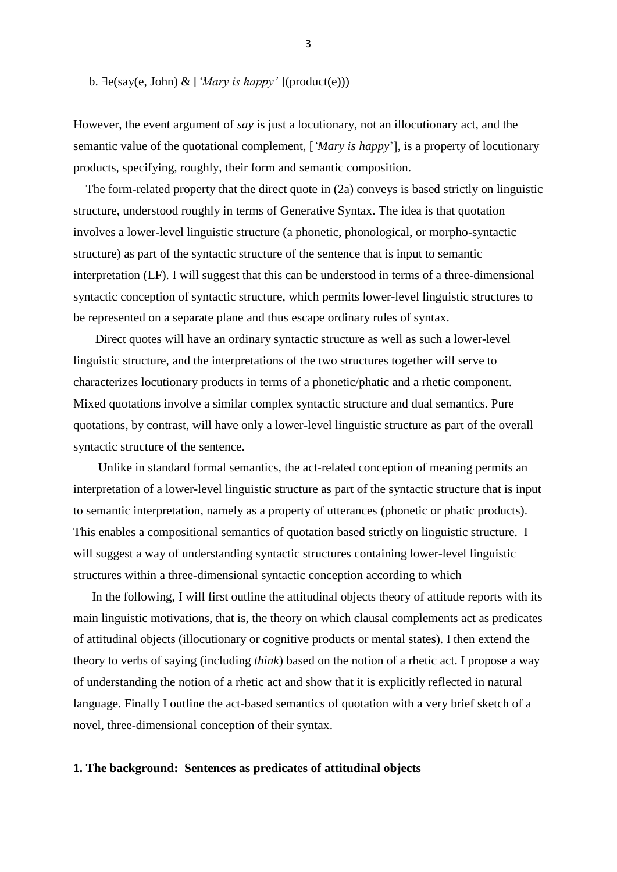b.  $\exists e$ (say(e, John) & [*'Mary is happy'* ](product(e)))

However, the event argument of *say* is just a locutionary, not an illocutionary act, and the semantic value of the quotational complement, [*'Mary is happy*'], is a property of locutionary products, specifying, roughly, their form and semantic composition.

 The form-related property that the direct quote in (2a) conveys is based strictly on linguistic structure, understood roughly in terms of Generative Syntax. The idea is that quotation involves a lower-level linguistic structure (a phonetic, phonological, or morpho-syntactic structure) as part of the syntactic structure of the sentence that is input to semantic interpretation (LF). I will suggest that this can be understood in terms of a three-dimensional syntactic conception of syntactic structure, which permits lower-level linguistic structures to be represented on a separate plane and thus escape ordinary rules of syntax.

 Direct quotes will have an ordinary syntactic structure as well as such a lower-level linguistic structure, and the interpretations of the two structures together will serve to characterizes locutionary products in terms of a phonetic/phatic and a rhetic component. Mixed quotations involve a similar complex syntactic structure and dual semantics. Pure quotations, by contrast, will have only a lower-level linguistic structure as part of the overall syntactic structure of the sentence.

 Unlike in standard formal semantics, the act-related conception of meaning permits an interpretation of a lower-level linguistic structure as part of the syntactic structure that is input to semantic interpretation, namely as a property of utterances (phonetic or phatic products). This enables a compositional semantics of quotation based strictly on linguistic structure. I will suggest a way of understanding syntactic structures containing lower-level linguistic structures within a three-dimensional syntactic conception according to which

 In the following, I will first outline the attitudinal objects theory of attitude reports with its main linguistic motivations, that is, the theory on which clausal complements act as predicates of attitudinal objects (illocutionary or cognitive products or mental states). I then extend the theory to verbs of saying (including *think*) based on the notion of a rhetic act. I propose a way of understanding the notion of a rhetic act and show that it is explicitly reflected in natural language. Finally I outline the act-based semantics of quotation with a very brief sketch of a novel, three-dimensional conception of their syntax.

## **1. The background: Sentences as predicates of attitudinal objects**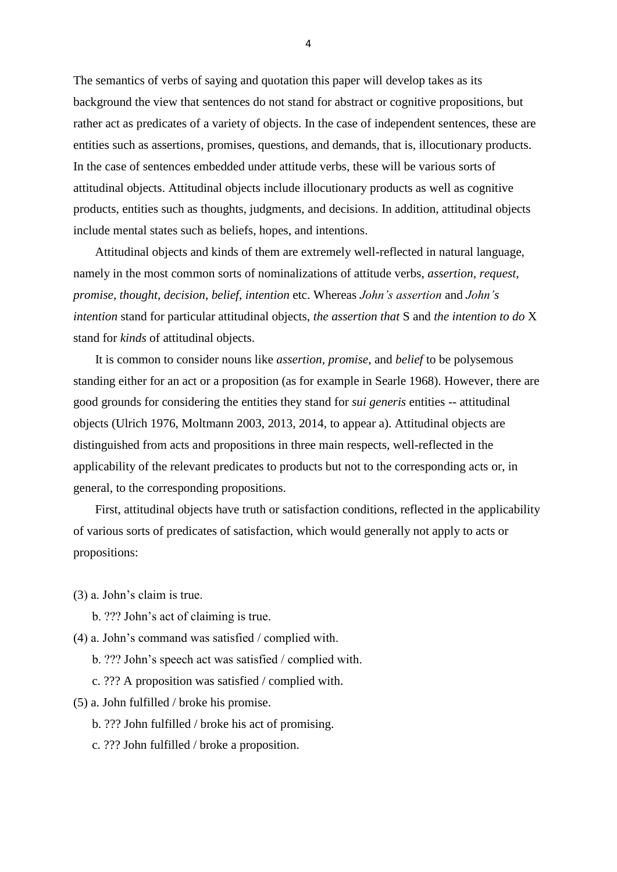The semantics of verbs of saying and quotation this paper will develop takes as its background the view that sentences do not stand for abstract or cognitive propositions, but rather act as predicates of a variety of objects. In the case of independent sentences, these are entities such as assertions, promises, questions, and demands, that is, illocutionary products. In the case of sentences embedded under attitude verbs, these will be various sorts of attitudinal objects. Attitudinal objects include illocutionary products as well as cognitive products, entities such as thoughts, judgments, and decisions. In addition, attitudinal objects include mental states such as beliefs, hopes, and intentions.

 Attitudinal objects and kinds of them are extremely well-reflected in natural language, namely in the most common sorts of nominalizations of attitude verbs, *assertion, request, promise, thought, decision*, *belief*, *intention* etc. Whereas *John's assertion* and *John's intention* stand for particular attitudinal objects, *the assertion that* S and *the intention to do* X stand for *kinds* of attitudinal objects.

 It is common to consider nouns like *assertion, promise,* and *belief* to be polysemous standing either for an act or a proposition (as for example in Searle 1968). However, there are good grounds for considering the entities they stand for *sui generis* entities -- attitudinal objects (Ulrich 1976, Moltmann 2003, 2013, 2014, to appear a). Attitudinal objects are distinguished from acts and propositions in three main respects, well-reflected in the applicability of the relevant predicates to products but not to the corresponding acts or, in general, to the corresponding propositions.

 First, attitudinal objects have truth or satisfaction conditions, reflected in the applicability of various sorts of predicates of satisfaction, which would generally not apply to acts or propositions:

- (3) a. John's claim is true.
	- b. ??? John's act of claiming is true.
- (4) a. John's command was satisfied / complied with.
	- b. ??? John's speech act was satisfied / complied with.
	- c. ??? A proposition was satisfied / complied with.
- (5) a. John fulfilled / broke his promise.
	- b. ??? John fulfilled / broke his act of promising.
	- c. ??? John fulfilled / broke a proposition.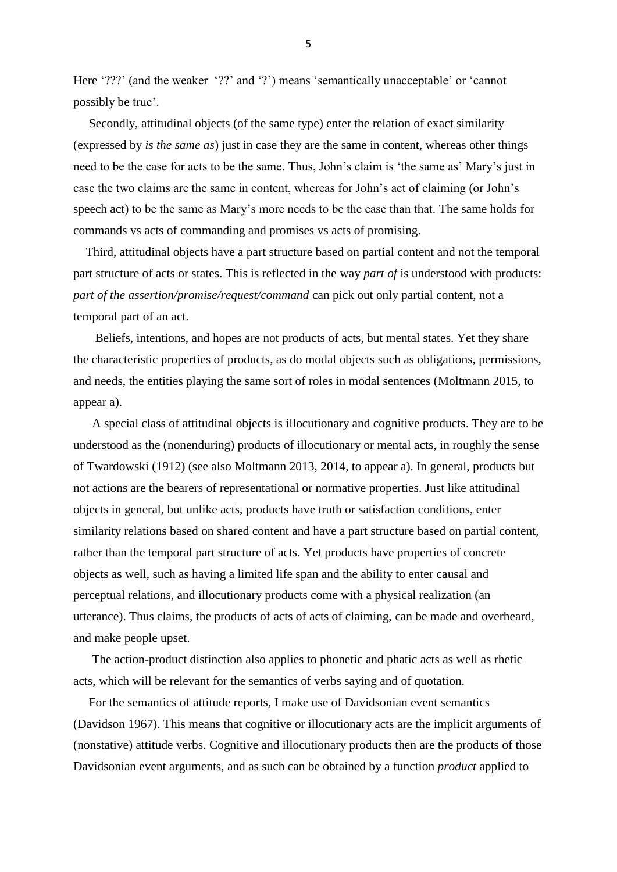Here '???' (and the weaker '??' and '?') means 'semantically unacceptable' or 'cannot possibly be true'.

 Secondly, attitudinal objects (of the same type) enter the relation of exact similarity (expressed by *is the same as*) just in case they are the same in content, whereas other things need to be the case for acts to be the same. Thus, John's claim is 'the same as' Mary's just in case the two claims are the same in content, whereas for John's act of claiming (or John's speech act) to be the same as Mary's more needs to be the case than that. The same holds for commands vs acts of commanding and promises vs acts of promising.

 Third, attitudinal objects have a part structure based on partial content and not the temporal part structure of acts or states. This is reflected in the way *part of* is understood with products: *part of the assertion/promise/request/command* can pick out only partial content, not a temporal part of an act.

 Beliefs, intentions, and hopes are not products of acts, but mental states. Yet they share the characteristic properties of products, as do modal objects such as obligations, permissions, and needs, the entities playing the same sort of roles in modal sentences (Moltmann 2015, to appear a).

 A special class of attitudinal objects is illocutionary and cognitive products. They are to be understood as the (nonenduring) products of illocutionary or mental acts, in roughly the sense of Twardowski (1912) (see also Moltmann 2013, 2014, to appear a). In general, products but not actions are the bearers of representational or normative properties. Just like attitudinal objects in general, but unlike acts, products have truth or satisfaction conditions, enter similarity relations based on shared content and have a part structure based on partial content, rather than the temporal part structure of acts. Yet products have properties of concrete objects as well, such as having a limited life span and the ability to enter causal and perceptual relations, and illocutionary products come with a physical realization (an utterance). Thus claims, the products of acts of acts of claiming, can be made and overheard, and make people upset.

 The action-product distinction also applies to phonetic and phatic acts as well as rhetic acts, which will be relevant for the semantics of verbs saying and of quotation.

 For the semantics of attitude reports, I make use of Davidsonian event semantics (Davidson 1967). This means that cognitive or illocutionary acts are the implicit arguments of (nonstative) attitude verbs. Cognitive and illocutionary products then are the products of those Davidsonian event arguments, and as such can be obtained by a function *product* applied to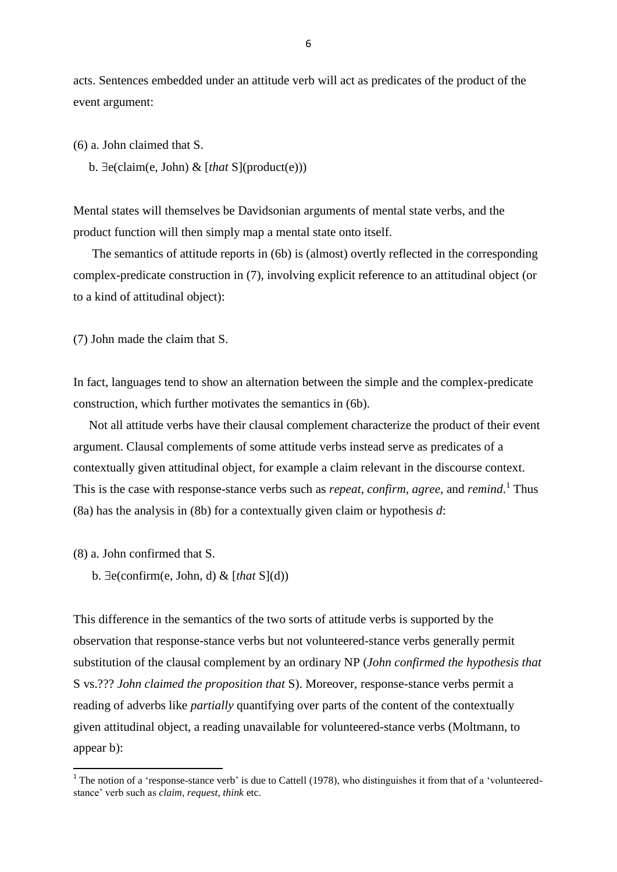acts. Sentences embedded under an attitude verb will act as predicates of the product of the event argument:

(6) a. John claimed that S.

b.  $\exists$ e(claim(e, John) & [that S](product(e)))

Mental states will themselves be Davidsonian arguments of mental state verbs, and the product function will then simply map a mental state onto itself.

 The semantics of attitude reports in (6b) is (almost) overtly reflected in the corresponding complex-predicate construction in (7), involving explicit reference to an attitudinal object (or to a kind of attitudinal object):

(7) John made the claim that S.

In fact, languages tend to show an alternation between the simple and the complex-predicate construction, which further motivates the semantics in (6b).

 Not all attitude verbs have their clausal complement characterize the product of their event argument. Clausal complements of some attitude verbs instead serve as predicates of a contextually given attitudinal object, for example a claim relevant in the discourse context. This is the case with response-stance verbs such as *repeat*, *confirm, agree*, and *remind*. 1 Thus (8a) has the analysis in (8b) for a contextually given claim or hypothesis *d*:

(8) a. John confirmed that S.

1

b.  $\exists$ e(confirm(e, John, d) &  $[that S](d)$ )

This difference in the semantics of the two sorts of attitude verbs is supported by the observation that response-stance verbs but not volunteered-stance verbs generally permit substitution of the clausal complement by an ordinary NP (*John confirmed the hypothesis that* S vs.??? *John claimed the proposition that* S). Moreover, response-stance verbs permit a reading of adverbs like *partially* quantifying over parts of the content of the contextually given attitudinal object, a reading unavailable for volunteered-stance verbs (Moltmann, to appear b):

<sup>&</sup>lt;sup>1</sup> The notion of a 'response-stance verb' is due to Cattell (1978), who distinguishes it from that of a 'volunteeredstance' verb such as *claim, request, think* etc.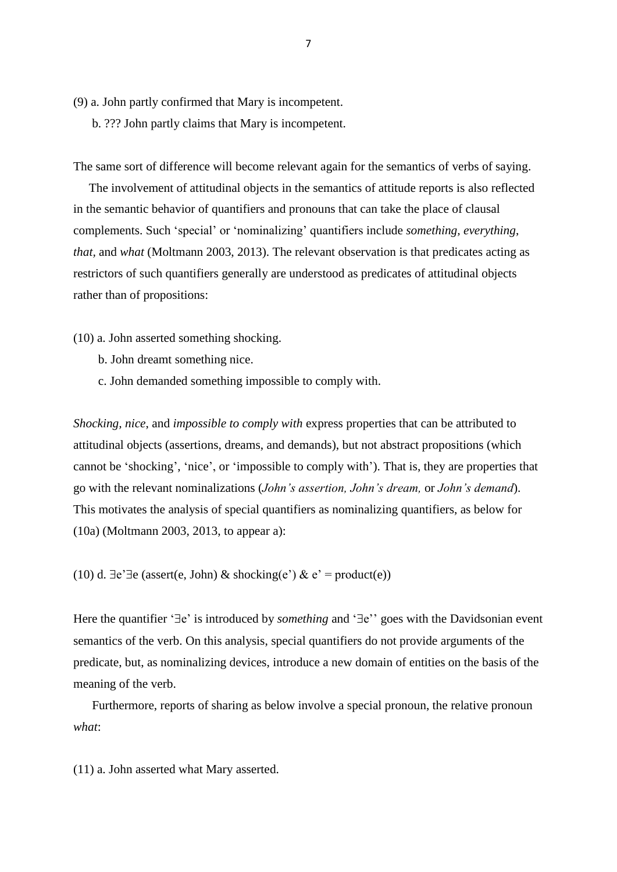(9) a. John partly confirmed that Mary is incompetent.

b. ??? John partly claims that Mary is incompetent.

The same sort of difference will become relevant again for the semantics of verbs of saying.

 The involvement of attitudinal objects in the semantics of attitude reports is also reflected in the semantic behavior of quantifiers and pronouns that can take the place of clausal complements. Such 'special' or 'nominalizing' quantifiers include *something, everything*, *that,* and *what* (Moltmann 2003, 2013). The relevant observation is that predicates acting as restrictors of such quantifiers generally are understood as predicates of attitudinal objects rather than of propositions:

(10) a. John asserted something shocking.

- b. John dreamt something nice.
- c. John demanded something impossible to comply with.

*Shocking, nice*, and *impossible to comply with* express properties that can be attributed to attitudinal objects (assertions, dreams, and demands), but not abstract propositions (which cannot be 'shocking', 'nice', or 'impossible to comply with'). That is, they are properties that go with the relevant nominalizations (*John's assertion, John's dream,* or *John's demand*). This motivates the analysis of special quantifiers as nominalizing quantifiers, as below for (10a) (Moltmann 2003, 2013, to appear a):

(10) d.  $\exists e' \exists e$  (assert(e, John) & shocking(e') &  $e' =$  product(e))

Here the quantifier ' $\exists e$ ' is introduced by *something* and ' $\exists e$ ' goes with the Davidsonian event semantics of the verb. On this analysis, special quantifiers do not provide arguments of the predicate, but, as nominalizing devices, introduce a new domain of entities on the basis of the meaning of the verb.

 Furthermore, reports of sharing as below involve a special pronoun, the relative pronoun *what*:

(11) a. John asserted what Mary asserted.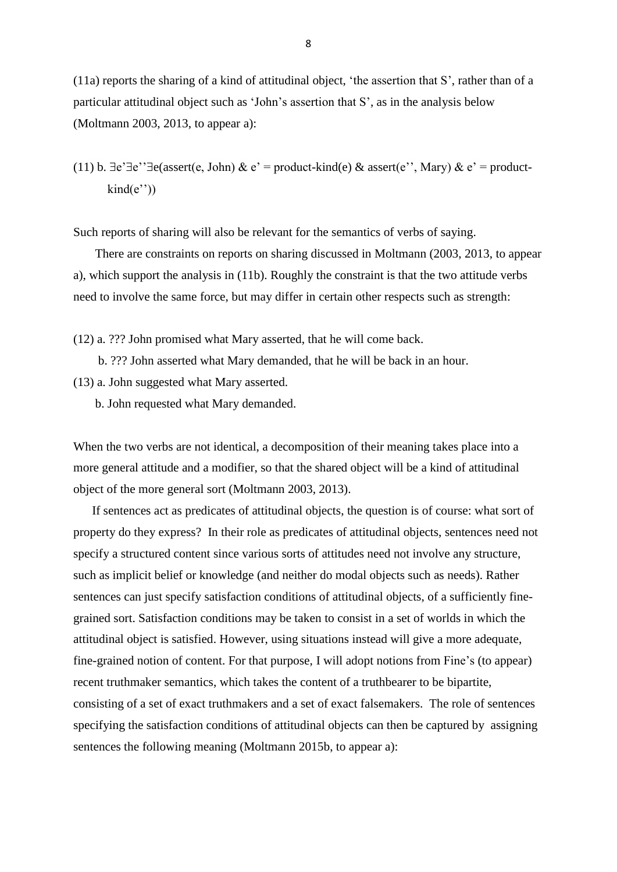(11a) reports the sharing of a kind of attitudinal object, 'the assertion that S', rather than of a particular attitudinal object such as 'John's assertion that S', as in the analysis below (Moltmann 2003, 2013, to appear a):

(11) b.  $\exists e' \exists e'' \exists e$ (assert(e, John) & e' = product-kind(e) & assert(e'', Mary) & e' = product $kind(e'')$ 

Such reports of sharing will also be relevant for the semantics of verbs of saying.

 There are constraints on reports on sharing discussed in Moltmann (2003, 2013, to appear a), which support the analysis in (11b). Roughly the constraint is that the two attitude verbs need to involve the same force, but may differ in certain other respects such as strength:

(12) a. ??? John promised what Mary asserted, that he will come back.

b. ??? John asserted what Mary demanded, that he will be back in an hour.

(13) a. John suggested what Mary asserted.

b. John requested what Mary demanded.

When the two verbs are not identical, a decomposition of their meaning takes place into a more general attitude and a modifier, so that the shared object will be a kind of attitudinal object of the more general sort (Moltmann 2003, 2013).

 If sentences act as predicates of attitudinal objects, the question is of course: what sort of property do they express? In their role as predicates of attitudinal objects, sentences need not specify a structured content since various sorts of attitudes need not involve any structure, such as implicit belief or knowledge (and neither do modal objects such as needs). Rather sentences can just specify satisfaction conditions of attitudinal objects, of a sufficiently finegrained sort. Satisfaction conditions may be taken to consist in a set of worlds in which the attitudinal object is satisfied. However, using situations instead will give a more adequate, fine-grained notion of content. For that purpose, I will adopt notions from Fine's (to appear) recent truthmaker semantics, which takes the content of a truthbearer to be bipartite, consisting of a set of exact truthmakers and a set of exact falsemakers. The role of sentences specifying the satisfaction conditions of attitudinal objects can then be captured by assigning sentences the following meaning (Moltmann 2015b, to appear a):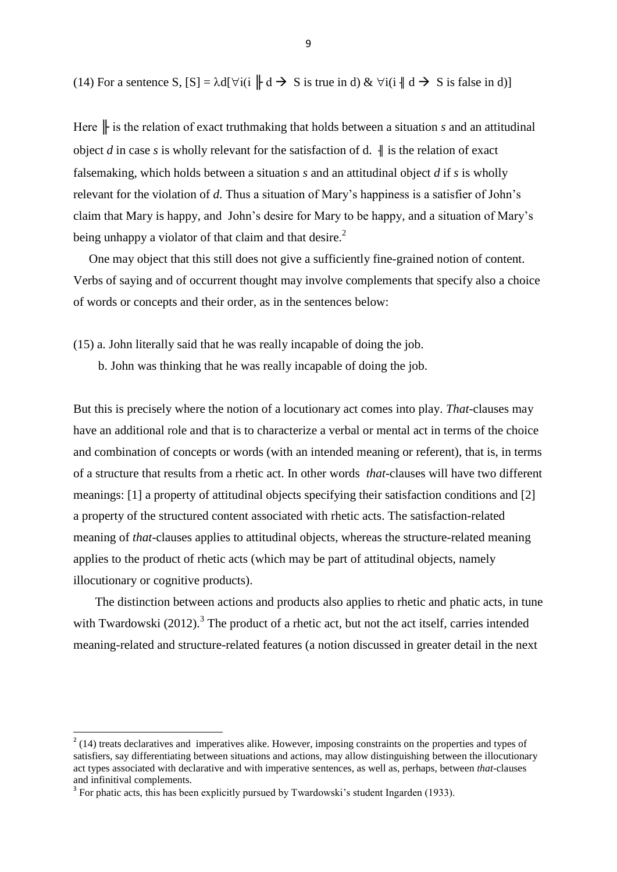(14) For a sentence S,  $[S] = \lambda d[\forall i(i \parallel d \rightarrow S \text{ is true in d}) \& \forall i(i \parallel d \rightarrow S \text{ is false in d})]$ 

Here  $∥$  is the relation of exact truthmaking that holds between a situation *s* and an attitudinal object *d* in case *s* is wholly relevant for the satisfaction of d.  $\parallel$  is the relation of exact falsemaking, which holds between a situation *s* and an attitudinal object *d* if *s* is wholly relevant for the violation of *d*. Thus a situation of Mary's happiness is a satisfier of John's claim that Mary is happy, and John's desire for Mary to be happy, and a situation of Mary's being unhappy a violator of that claim and that desire.<sup>2</sup>

 One may object that this still does not give a sufficiently fine-grained notion of content. Verbs of saying and of occurrent thought may involve complements that specify also a choice of words or concepts and their order, as in the sentences below:

- (15) a. John literally said that he was really incapable of doing the job.
	- b. John was thinking that he was really incapable of doing the job.

But this is precisely where the notion of a locutionary act comes into play. *That-*clauses may have an additional role and that is to characterize a verbal or mental act in terms of the choice and combination of concepts or words (with an intended meaning or referent), that is, in terms of a structure that results from a rhetic act. In other words *that*-clauses will have two different meanings: [1] a property of attitudinal objects specifying their satisfaction conditions and [2] a property of the structured content associated with rhetic acts. The satisfaction-related meaning of *that*-clauses applies to attitudinal objects, whereas the structure-related meaning applies to the product of rhetic acts (which may be part of attitudinal objects, namely illocutionary or cognitive products).

 The distinction between actions and products also applies to rhetic and phatic acts, in tune with Twardowski  $(2012)$ .<sup>3</sup> The product of a rhetic act, but not the act itself, carries intended meaning-related and structure-related features (a notion discussed in greater detail in the next

 $2(14)$  treats declaratives and imperatives alike. However, imposing constraints on the properties and types of satisfiers, say differentiating between situations and actions, may allow distinguishing between the illocutionary act types associated with declarative and with imperative sentences, as well as, perhaps, between *that*-clauses and infinitival complements.

 $3$  For phatic acts, this has been explicitly pursued by Twardowski's student Ingarden (1933).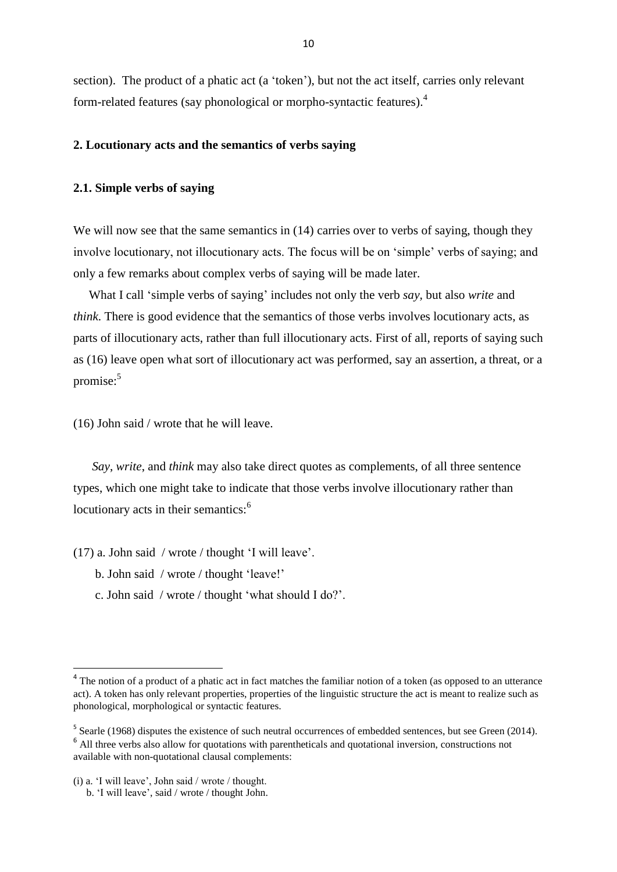section). The product of a phatic act (a 'token'), but not the act itself, carries only relevant form-related features (say phonological or morpho-syntactic features).<sup>4</sup>

# **2. Locutionary acts and the semantics of verbs saying**

# **2.1. Simple verbs of saying**

We will now see that the same semantics in (14) carries over to verbs of saying, though they involve locutionary, not illocutionary acts. The focus will be on 'simple' verbs of saying; and only a few remarks about complex verbs of saying will be made later.

 What I call 'simple verbs of saying' includes not only the verb *say,* but also *write* and *think*. There is good evidence that the semantics of those verbs involves locutionary acts, as parts of illocutionary acts, rather than full illocutionary acts. First of all, reports of saying such as (16) leave open what sort of illocutionary act was performed, say an assertion, a threat, or a promise:<sup>5</sup>

(16) John said / wrote that he will leave.

 *Say*, *write*, and *think* may also take direct quotes as complements, of all three sentence types, which one might take to indicate that those verbs involve illocutionary rather than locutionary acts in their semantics: $6<sup>6</sup>$ 

(17) a. John said / wrote / thought 'I will leave'.

- b. John said / wrote / thought 'leave!'
- c. John said / wrote / thought 'what should I do?'.

 $\overline{a}$ 

<sup>&</sup>lt;sup>4</sup> The notion of a product of a phatic act in fact matches the familiar notion of a token (as opposed to an utterance act). A token has only relevant properties, properties of the linguistic structure the act is meant to realize such as phonological, morphological or syntactic features.

 $<sup>5</sup>$  Searle (1968) disputes the existence of such neutral occurrences of embedded sentences, but see Green (2014).</sup> <sup>6</sup> All three verbs also allow for quotations with parentheticals and quotational inversion, constructions not available with non-quotational clausal complements:

<sup>(</sup>i) a. 'I will leave', John said / wrote / thought.

b. 'I will leave', said / wrote / thought John.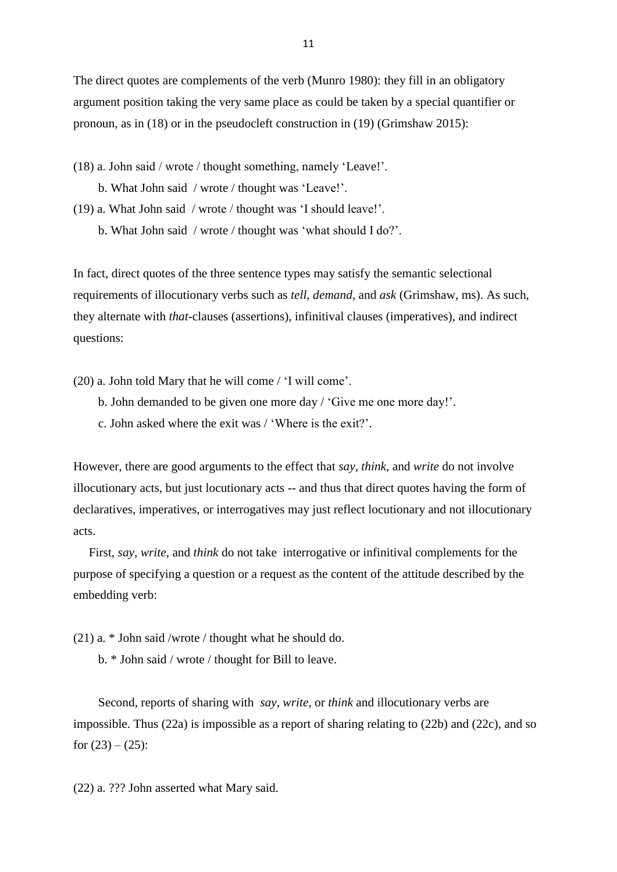The direct quotes are complements of the verb (Munro 1980): they fill in an obligatory argument position taking the very same place as could be taken by a special quantifier or pronoun, as in (18) or in the pseudocleft construction in (19) (Grimshaw 2015):

- (18) a. John said / wrote / thought something, namely 'Leave!'.
	- b. What John said / wrote / thought was 'Leave!'.
- (19) a. What John said / wrote / thought was 'I should leave!'.
	- b. What John said / wrote / thought was 'what should I do?'.

In fact, direct quotes of the three sentence types may satisfy the semantic selectional requirements of illocutionary verbs such as *tell, demand*, and *ask* (Grimshaw, ms). As such, they alternate with *that*-clauses (assertions), infinitival clauses (imperatives), and indirect questions:

(20) a. John told Mary that he will come / 'I will come'.

- b. John demanded to be given one more day / 'Give me one more day!'.
- c. John asked where the exit was / 'Where is the exit?'.

However, there are good arguments to the effect that *say, think*, and *write* do not involve illocutionary acts, but just locutionary acts -- and thus that direct quotes having the form of declaratives, imperatives, or interrogatives may just reflect locutionary and not illocutionary acts.

 First, *say, write*, and *think* do not take interrogative or infinitival complements for the purpose of specifying a question or a request as the content of the attitude described by the embedding verb:

- (21) a. \* John said /wrote / thought what he should do.
	- b. \* John said / wrote / thought for Bill to leave.

 Second, reports of sharing with *say*, *write*, or *think* and illocutionary verbs are impossible. Thus (22a) is impossible as a report of sharing relating to (22b) and (22c), and so for  $(23) - (25)$ :

(22) a. ??? John asserted what Mary said.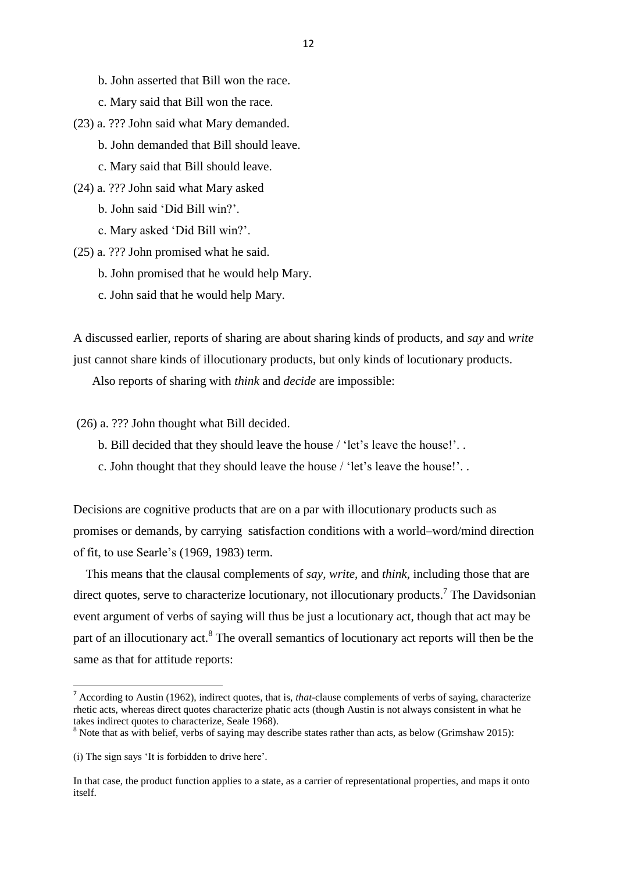- b. John asserted that Bill won the race.
- c. Mary said that Bill won the race.
- (23) a. ??? John said what Mary demanded.
	- b. John demanded that Bill should leave.
	- c. Mary said that Bill should leave.
- (24) a. ??? John said what Mary asked
	- b. John said 'Did Bill win?'.
	- c. Mary asked 'Did Bill win?'.
- (25) a. ??? John promised what he said.
	- b. John promised that he would help Mary.
	- c. John said that he would help Mary.

A discussed earlier, reports of sharing are about sharing kinds of products, and *say* and *write*  just cannot share kinds of illocutionary products, but only kinds of locutionary products.

Also reports of sharing with *think* and *decide* are impossible:

(26) a. ??? John thought what Bill decided.

- b. Bill decided that they should leave the house / 'let's leave the house!'. .
- c. John thought that they should leave the house / 'let's leave the house!'. .

Decisions are cognitive products that are on a par with illocutionary products such as promises or demands, by carrying satisfaction conditions with a world–word/mind direction of fit, to use Searle's (1969, 1983) term.

 This means that the clausal complements of *say, write,* and *think*, including those that are direct quotes, serve to characterize locutionary, not illocutionary products.<sup>7</sup> The Davidsonian event argument of verbs of saying will thus be just a locutionary act, though that act may be part of an illocutionary act.<sup>8</sup> The overall semantics of locutionary act reports will then be the same as that for attitude reports:

<sup>7</sup> According to Austin (1962), indirect quotes, that is, *that*-clause complements of verbs of saying, characterize rhetic acts, whereas direct quotes characterize phatic acts (though Austin is not always consistent in what he takes indirect quotes to characterize, Seale 1968).

 $8$  Note that as with belief, verbs of saying may describe states rather than acts, as below (Grimshaw 2015):

<sup>(</sup>i) The sign says 'It is forbidden to drive here'.

In that case, the product function applies to a state, as a carrier of representational properties, and maps it onto itself.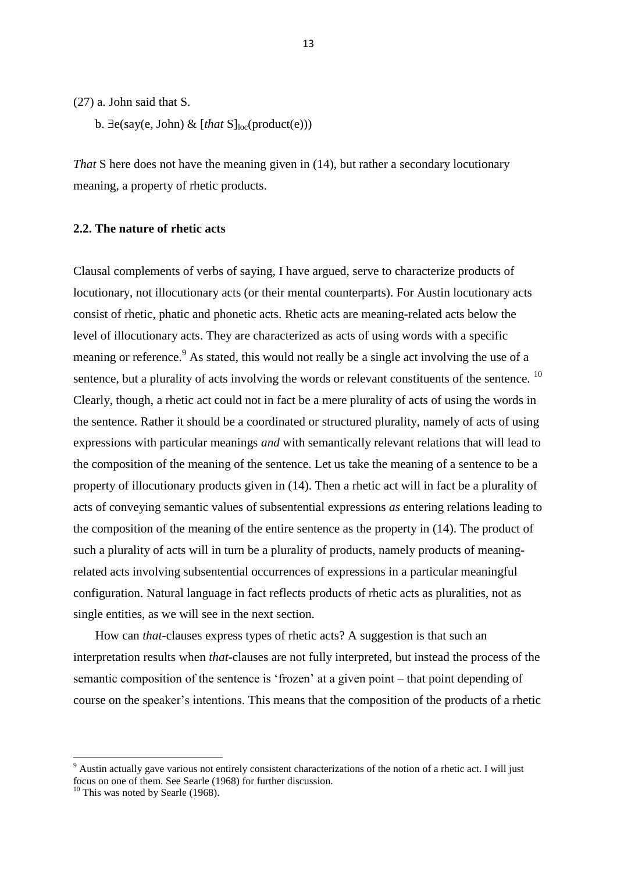(27) a. John said that S.

b.  $\exists e$ (say(e, John) & [*that* S]<sub>loc</sub>(product(e)))

*That* S here does not have the meaning given in (14), but rather a secondary locutionary meaning, a property of rhetic products.

## **2.2. The nature of rhetic acts**

Clausal complements of verbs of saying, I have argued, serve to characterize products of locutionary, not illocutionary acts (or their mental counterparts). For Austin locutionary acts consist of rhetic, phatic and phonetic acts. Rhetic acts are meaning-related acts below the level of illocutionary acts. They are characterized as acts of using words with a specific meaning or reference.<sup>9</sup> As stated, this would not really be a single act involving the use of a sentence, but a plurality of acts involving the words or relevant constituents of the sentence.  $10$ Clearly, though, a rhetic act could not in fact be a mere plurality of acts of using the words in the sentence. Rather it should be a coordinated or structured plurality, namely of acts of using expressions with particular meanings *and* with semantically relevant relations that will lead to the composition of the meaning of the sentence. Let us take the meaning of a sentence to be a property of illocutionary products given in (14). Then a rhetic act will in fact be a plurality of acts of conveying semantic values of subsentential expressions *as* entering relations leading to the composition of the meaning of the entire sentence as the property in (14). The product of such a plurality of acts will in turn be a plurality of products, namely products of meaningrelated acts involving subsentential occurrences of expressions in a particular meaningful configuration. Natural language in fact reflects products of rhetic acts as pluralities, not as single entities, as we will see in the next section.

 How can *that*-clauses express types of rhetic acts? A suggestion is that such an interpretation results when *that*-clauses are not fully interpreted, but instead the process of the semantic composition of the sentence is 'frozen' at a given point – that point depending of course on the speaker's intentions. This means that the composition of the products of a rhetic

 $9$  Austin actually gave various not entirely consistent characterizations of the notion of a rhetic act. I will just focus on one of them. See Searle (1968) for further discussion.

 $10$  This was noted by Searle (1968).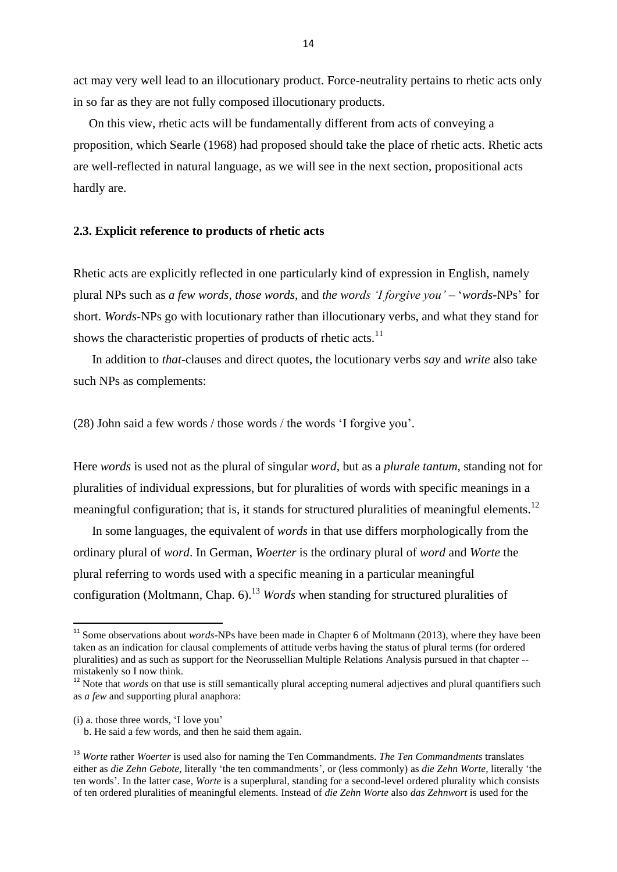act may very well lead to an illocutionary product. Force-neutrality pertains to rhetic acts only in so far as they are not fully composed illocutionary products.

 On this view, rhetic acts will be fundamentally different from acts of conveying a proposition, which Searle (1968) had proposed should take the place of rhetic acts. Rhetic acts are well-reflected in natural language, as we will see in the next section, propositional acts hardly are.

## **2.3. Explicit reference to products of rhetic acts**

Rhetic acts are explicitly reflected in one particularly kind of expression in English, namely plural NPs such as *a few words*, *those words,* and *the words 'I forgive you'* – '*words*-NPs' for short. *Words*-NPs go with locutionary rather than illocutionary verbs, and what they stand for shows the characteristic properties of products of rhetic acts.<sup>11</sup>

 In addition to *that*-clauses and direct quotes, the locutionary verbs *say* and *write* also take such NPs as complements:

(28) John said a few words / those words / the words 'I forgive you'.

Here *words* is used not as the plural of singular *word*, but as a *plurale tantum*, standing not for pluralities of individual expressions, but for pluralities of words with specific meanings in a meaningful configuration; that is, it stands for structured pluralities of meaningful elements.<sup>12</sup>

 In some languages, the equivalent of *words* in that use differs morphologically from the ordinary plural of *word*. In German, *Woerter* is the ordinary plural of *word* and *Worte* the plural referring to words used with a specific meaning in a particular meaningful configuration (Moltmann, Chap. 6). <sup>13</sup> *Words* when standing for structured pluralities of

<sup>&</sup>lt;sup>11</sup> Some observations about *words*-NPs have been made in Chapter 6 of Moltmann (2013), where they have been taken as an indication for clausal complements of attitude verbs having the status of plural terms (for ordered pluralities) and as such as support for the Neorussellian Multiple Relations Analysis pursued in that chapter - mistakenly so I now think.

<sup>&</sup>lt;sup>12</sup> Note that *words* on that use is still semantically plural accepting numeral adjectives and plural quantifiers such as *a few* and supporting plural anaphora:

<sup>(</sup>i) a. those three words, 'I love you'

b. He said a few words, and then he said them again.

<sup>13</sup> *Worte* rather *Woerter* is used also for naming the Ten Commandments. *The Ten Commandments* translates either as *die Zehn Gebote,* literally 'the ten commandments', or (less commonly) as *die Zehn Worte,* literally 'the ten words'. In the latter case, *Worte* is a superplural, standing for a second-level ordered plurality which consists of ten ordered pluralities of meaningful elements. Instead of *die Zehn Worte* also *das Zehnwort* is used for the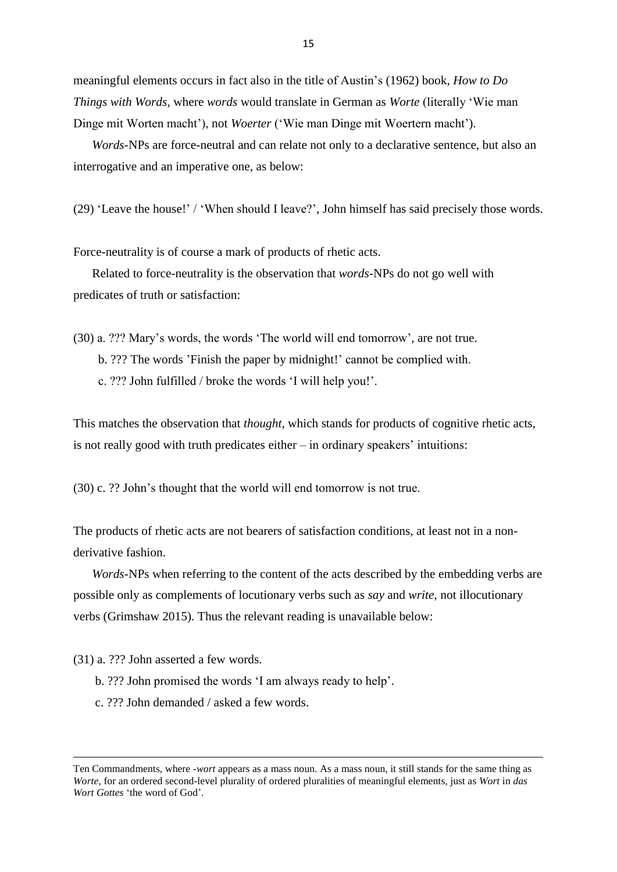meaningful elements occurs in fact also in the title of Austin's (1962) book, *How to Do Things with Words*, where *words* would translate in German as *Worte* (literally 'Wie man Dinge mit Worten macht'), not *Woerter* ('Wie man Dinge mit Woertern macht').

 *Words*-NPs are force-neutral and can relate not only to a declarative sentence, but also an interrogative and an imperative one, as below:

(29) 'Leave the house!' / 'When should I leave?', John himself has said precisely those words.

Force-neutrality is of course a mark of products of rhetic acts.

 Related to force-neutrality is the observation that *words*-NPs do not go well with predicates of truth or satisfaction:

(30) a. ??? Mary's words, the words 'The world will end tomorrow', are not true.

- b. ??? The words 'Finish the paper by midnight!' cannot be complied with.
- c. ??? John fulfilled / broke the words 'I will help you!'.

This matches the observation that *thought*, which stands for products of cognitive rhetic acts, is not really good with truth predicates either – in ordinary speakers' intuitions:

(30) c. ?? John's thought that the world will end tomorrow is not true.

The products of rhetic acts are not bearers of satisfaction conditions, at least not in a nonderivative fashion.

 *Words*-NPs when referring to the content of the acts described by the embedding verbs are possible only as complements of locutionary verbs such as *say* and *write*, not illocutionary verbs (Grimshaw 2015). Thus the relevant reading is unavailable below:

(31) a. ??? John asserted a few words.

 $\ddot{\phantom{a}}$ 

- b. ??? John promised the words 'I am always ready to help'.
- c. ??? John demanded / asked a few words.

Ten Commandments, where *-wort* appears as a mass noun. As a mass noun, it still stands for the same thing as *Worte*, for an ordered second-level plurality of ordered pluralities of meaningful elements, just as *Wort* in *das Wort Gottes* 'the word of God'.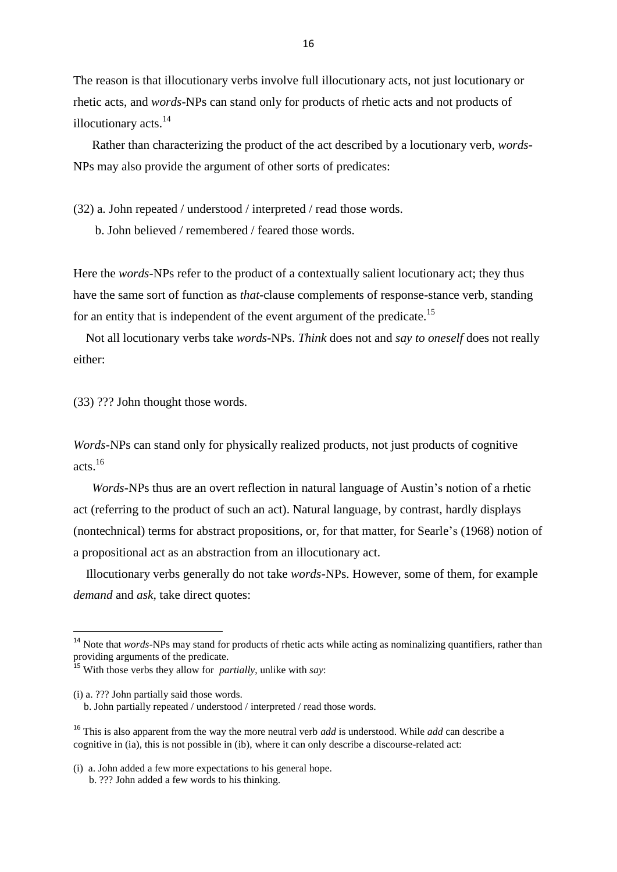The reason is that illocutionary verbs involve full illocutionary acts, not just locutionary or rhetic acts, and *words*-NPs can stand only for products of rhetic acts and not products of illocutionary acts.<sup>14</sup>

 Rather than characterizing the product of the act described by a locutionary verb, *words*-NPs may also provide the argument of other sorts of predicates:

(32) a. John repeated / understood / interpreted / read those words.

b. John believed / remembered / feared those words.

Here the *words*-NPs refer to the product of a contextually salient locutionary act; they thus have the same sort of function as *that*-clause complements of response-stance verb, standing for an entity that is independent of the event argument of the predicate.<sup>15</sup>

 Not all locutionary verbs take *words*-NPs. *Think* does not and *say to oneself* does not really either:

(33) ??? John thought those words.

*Words*-NPs can stand only for physically realized products, not just products of cognitive acts. 16

 *Words*-NPs thus are an overt reflection in natural language of Austin's notion of a rhetic act (referring to the product of such an act). Natural language, by contrast, hardly displays (nontechnical) terms for abstract propositions, or, for that matter, for Searle's (1968) notion of a propositional act as an abstraction from an illocutionary act.

 Illocutionary verbs generally do not take *words*-NPs. However, some of them, for example *demand* and *ask,* take direct quotes:

<sup>&</sup>lt;sup>14</sup> Note that *words*-NPs may stand for products of rhetic acts while acting as nominalizing quantifiers, rather than providing arguments of the predicate.

<sup>15</sup> With those verbs they allow for *partially*, unlike with *say*:

<sup>(</sup>i) a. ??? John partially said those words.

b. John partially repeated / understood / interpreted / read those words.

<sup>16</sup> This is also apparent from the way the more neutral verb *add* is understood. While *add* can describe a cognitive in (ia), this is not possible in (ib), where it can only describe a discourse-related act:

<sup>(</sup>i) a. John added a few more expectations to his general hope. b. ??? John added a few words to his thinking.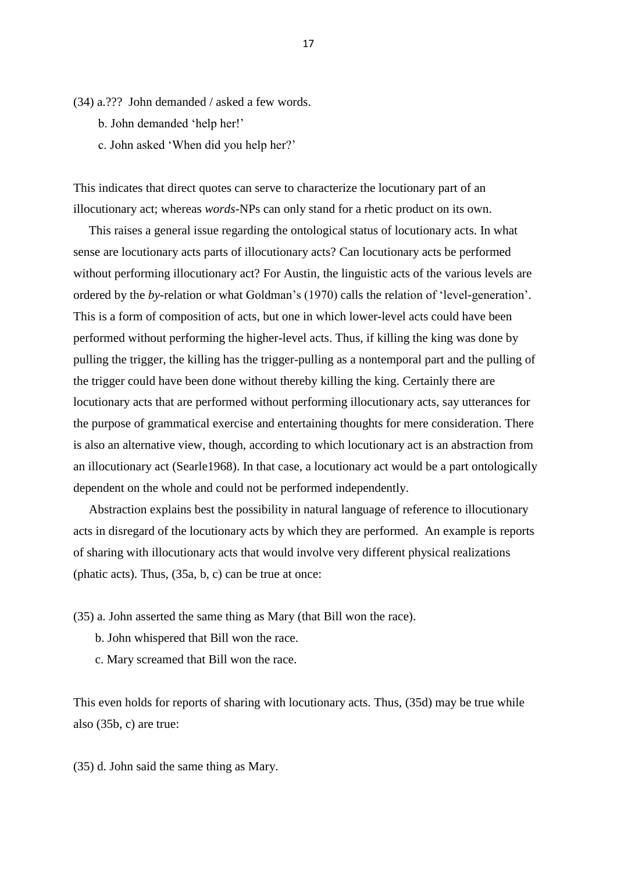(34) a.??? John demanded / asked a few words.

- b. John demanded 'help her!'
- c. John asked 'When did you help her?'

This indicates that direct quotes can serve to characterize the locutionary part of an illocutionary act; whereas *words*-NPs can only stand for a rhetic product on its own.

 This raises a general issue regarding the ontological status of locutionary acts. In what sense are locutionary acts parts of illocutionary acts? Can locutionary acts be performed without performing illocutionary act? For Austin, the linguistic acts of the various levels are ordered by the *by*-relation or what Goldman's (1970) calls the relation of 'level-generation'. This is a form of composition of acts, but one in which lower-level acts could have been performed without performing the higher-level acts. Thus, if killing the king was done by pulling the trigger, the killing has the trigger-pulling as a nontemporal part and the pulling of the trigger could have been done without thereby killing the king. Certainly there are locutionary acts that are performed without performing illocutionary acts, say utterances for the purpose of grammatical exercise and entertaining thoughts for mere consideration. There is also an alternative view, though, according to which locutionary act is an abstraction from an illocutionary act (Searle1968). In that case, a locutionary act would be a part ontologically dependent on the whole and could not be performed independently.

 Abstraction explains best the possibility in natural language of reference to illocutionary acts in disregard of the locutionary acts by which they are performed. An example is reports of sharing with illocutionary acts that would involve very different physical realizations (phatic acts). Thus, (35a, b, c) can be true at once:

(35) a. John asserted the same thing as Mary (that Bill won the race).

- b. John whispered that Bill won the race.
- c. Mary screamed that Bill won the race.

This even holds for reports of sharing with locutionary acts. Thus, (35d) may be true while also (35b, c) are true:

(35) d. John said the same thing as Mary.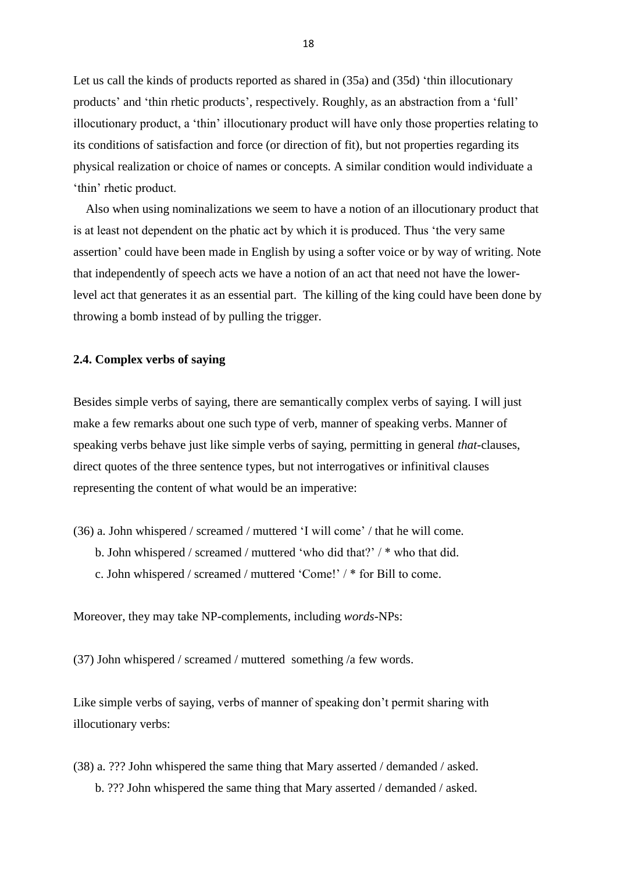Let us call the kinds of products reported as shared in (35a) and (35d) 'thin illocutionary products' and 'thin rhetic products', respectively. Roughly, as an abstraction from a 'full' illocutionary product, a 'thin' illocutionary product will have only those properties relating to its conditions of satisfaction and force (or direction of fit), but not properties regarding its physical realization or choice of names or concepts. A similar condition would individuate a 'thin' rhetic product.

 Also when using nominalizations we seem to have a notion of an illocutionary product that is at least not dependent on the phatic act by which it is produced. Thus 'the very same assertion' could have been made in English by using a softer voice or by way of writing. Note that independently of speech acts we have a notion of an act that need not have the lowerlevel act that generates it as an essential part. The killing of the king could have been done by throwing a bomb instead of by pulling the trigger.

## **2.4. Complex verbs of saying**

Besides simple verbs of saying, there are semantically complex verbs of saying. I will just make a few remarks about one such type of verb, manner of speaking verbs. Manner of speaking verbs behave just like simple verbs of saying, permitting in general *that*-clauses, direct quotes of the three sentence types, but not interrogatives or infinitival clauses representing the content of what would be an imperative:

- (36) a. John whispered / screamed / muttered 'I will come' / that he will come.
	- b. John whispered / screamed / muttered 'who did that?' / \* who that did.
	- c. John whispered / screamed / muttered 'Come!' / \* for Bill to come.

Moreover, they may take NP-complements, including *words*-NPs:

(37) John whispered / screamed / muttered something /a few words.

Like simple verbs of saying, verbs of manner of speaking don't permit sharing with illocutionary verbs:

(38) a. ??? John whispered the same thing that Mary asserted / demanded / asked. b. ??? John whispered the same thing that Mary asserted / demanded / asked.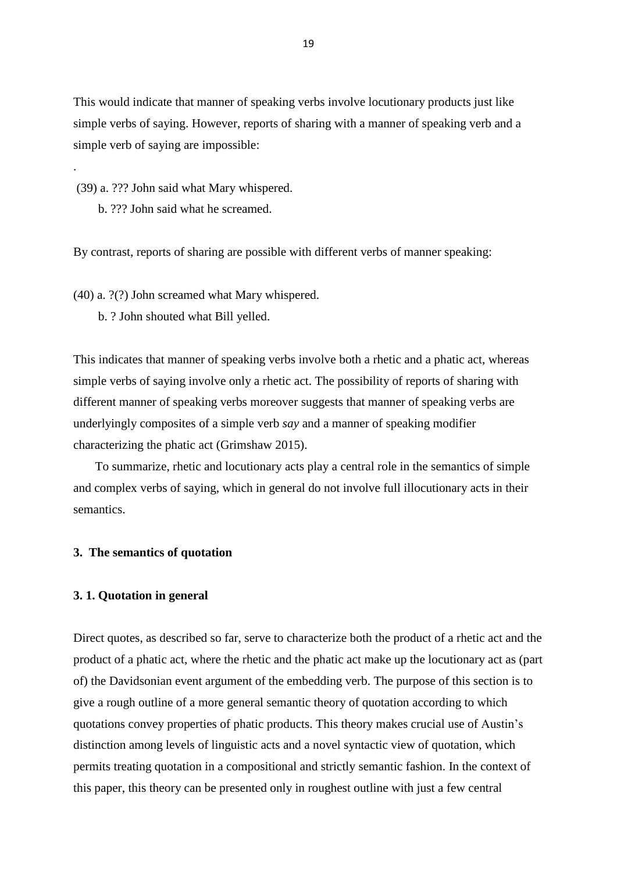This would indicate that manner of speaking verbs involve locutionary products just like simple verbs of saying. However, reports of sharing with a manner of speaking verb and a simple verb of saying are impossible:

(39) a. ??? John said what Mary whispered.

.

b. ??? John said what he screamed.

By contrast, reports of sharing are possible with different verbs of manner speaking:

(40) a. ?(?) John screamed what Mary whispered.

b. ? John shouted what Bill yelled.

This indicates that manner of speaking verbs involve both a rhetic and a phatic act, whereas simple verbs of saying involve only a rhetic act. The possibility of reports of sharing with different manner of speaking verbs moreover suggests that manner of speaking verbs are underlyingly composites of a simple verb *say* and a manner of speaking modifier characterizing the phatic act (Grimshaw 2015).

 To summarize, rhetic and locutionary acts play a central role in the semantics of simple and complex verbs of saying, which in general do not involve full illocutionary acts in their semantics.

## **3. The semantics of quotation**

#### **3. 1. Quotation in general**

Direct quotes, as described so far, serve to characterize both the product of a rhetic act and the product of a phatic act, where the rhetic and the phatic act make up the locutionary act as (part of) the Davidsonian event argument of the embedding verb. The purpose of this section is to give a rough outline of a more general semantic theory of quotation according to which quotations convey properties of phatic products. This theory makes crucial use of Austin's distinction among levels of linguistic acts and a novel syntactic view of quotation, which permits treating quotation in a compositional and strictly semantic fashion. In the context of this paper, this theory can be presented only in roughest outline with just a few central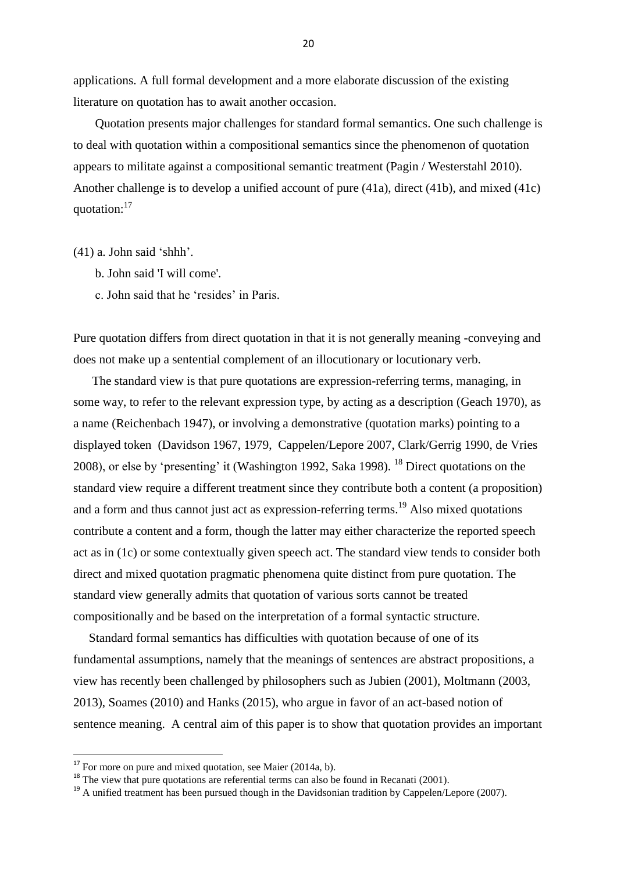applications. A full formal development and a more elaborate discussion of the existing literature on quotation has to await another occasion.

 Quotation presents major challenges for standard formal semantics. One such challenge is to deal with quotation within a compositional semantics since the phenomenon of quotation appears to militate against a compositional semantic treatment (Pagin / Westerstahl 2010). Another challenge is to develop a unified account of pure (41a), direct (41b), and mixed (41c) quotation:<sup>17</sup>

(41) a. John said 'shhh'.

- b. John said 'I will come'.
- c. John said that he 'resides' in Paris.

Pure quotation differs from direct quotation in that it is not generally meaning -conveying and does not make up a sentential complement of an illocutionary or locutionary verb.

 The standard view is that pure quotations are expression-referring terms, managing, in some way, to refer to the relevant expression type, by acting as a description (Geach 1970), as a name (Reichenbach 1947), or involving a demonstrative (quotation marks) pointing to a displayed token (Davidson 1967, 1979, Cappelen/Lepore 2007, Clark/Gerrig 1990, de Vries 2008), or else by 'presenting' it (Washington 1992, Saka 1998). <sup>18</sup> Direct quotations on the standard view require a different treatment since they contribute both a content (a proposition) and a form and thus cannot just act as expression-referring terms.<sup>19</sup> Also mixed quotations contribute a content and a form, though the latter may either characterize the reported speech act as in (1c) or some contextually given speech act. The standard view tends to consider both direct and mixed quotation pragmatic phenomena quite distinct from pure quotation. The standard view generally admits that quotation of various sorts cannot be treated compositionally and be based on the interpretation of a formal syntactic structure.

 Standard formal semantics has difficulties with quotation because of one of its fundamental assumptions, namely that the meanings of sentences are abstract propositions, a view has recently been challenged by philosophers such as Jubien (2001), Moltmann (2003, 2013), Soames (2010) and Hanks (2015), who argue in favor of an act-based notion of sentence meaning. A central aim of this paper is to show that quotation provides an important

**.** 

 $17$  For more on pure and mixed quotation, see Maier (2014a, b).

<sup>&</sup>lt;sup>18</sup> The view that pure quotations are referential terms can also be found in Recanati (2001).

<sup>&</sup>lt;sup>19</sup> A unified treatment has been pursued though in the Davidsonian tradition by Cappelen/Lepore (2007).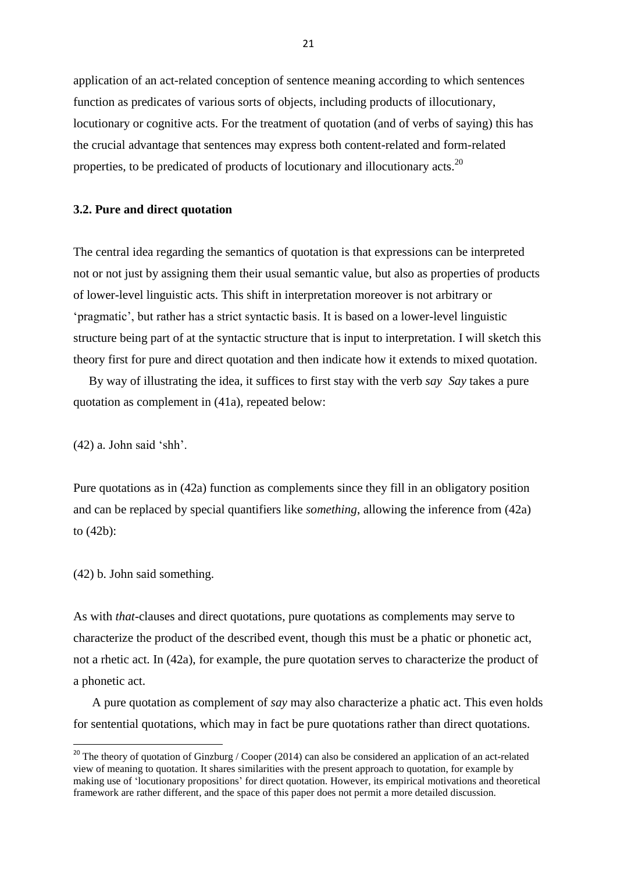application of an act-related conception of sentence meaning according to which sentences function as predicates of various sorts of objects, including products of illocutionary, locutionary or cognitive acts. For the treatment of quotation (and of verbs of saying) this has the crucial advantage that sentences may express both content-related and form-related properties, to be predicated of products of locutionary and illocutionary acts.<sup>20</sup>

## **3.2. Pure and direct quotation**

The central idea regarding the semantics of quotation is that expressions can be interpreted not or not just by assigning them their usual semantic value, but also as properties of products of lower-level linguistic acts. This shift in interpretation moreover is not arbitrary or 'pragmatic', but rather has a strict syntactic basis. It is based on a lower-level linguistic structure being part of at the syntactic structure that is input to interpretation. I will sketch this theory first for pure and direct quotation and then indicate how it extends to mixed quotation.

 By way of illustrating the idea, it suffices to first stay with the verb *say Say* takes a pure quotation as complement in (41a), repeated below:

(42) a. John said 'shh'.

Pure quotations as in (42a) function as complements since they fill in an obligatory position and can be replaced by special quantifiers like *something*, allowing the inference from (42a) to (42b):

(42) b. John said something.

**.** 

As with *that*-clauses and direct quotations, pure quotations as complements may serve to characterize the product of the described event, though this must be a phatic or phonetic act, not a rhetic act. In (42a), for example, the pure quotation serves to characterize the product of a phonetic act.

 A pure quotation as complement of *say* may also characterize a phatic act. This even holds for sentential quotations, which may in fact be pure quotations rather than direct quotations.

<sup>&</sup>lt;sup>20</sup> The theory of quotation of Ginzburg / Cooper (2014) can also be considered an application of an act-related view of meaning to quotation. It shares similarities with the present approach to quotation, for example by making use of 'locutionary propositions' for direct quotation. However, its empirical motivations and theoretical framework are rather different, and the space of this paper does not permit a more detailed discussion.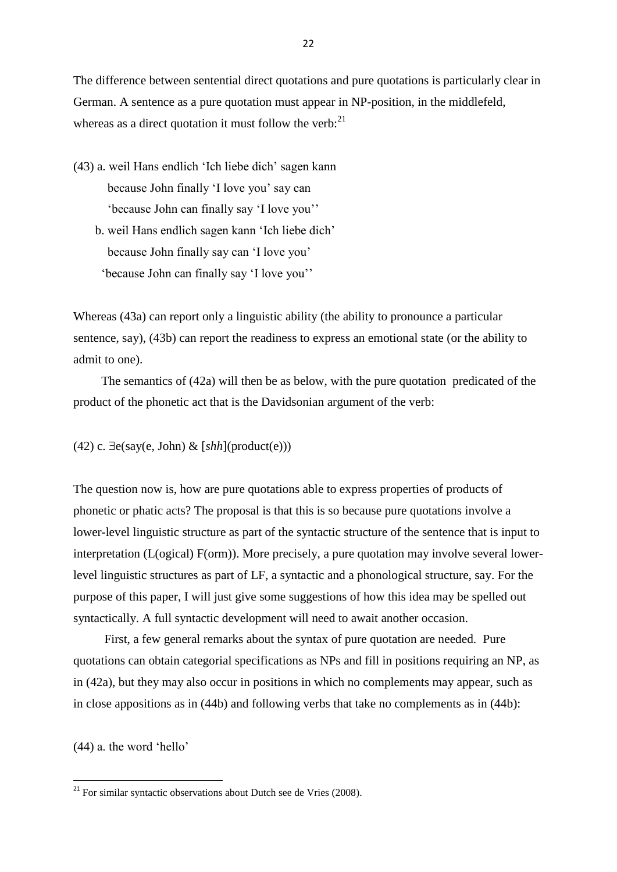The difference between sentential direct quotations and pure quotations is particularly clear in German. A sentence as a pure quotation must appear in NP-position, in the middlefeld, whereas as a direct quotation it must follow the verb: $^{21}$ 

(43) a. weil Hans endlich 'Ich liebe dich' sagen kann because John finally 'I love you' say can 'because John can finally say 'I love you'' b. weil Hans endlich sagen kann 'Ich liebe dich' because John finally say can 'I love you' 'because John can finally say 'I love you''

Whereas (43a) can report only a linguistic ability (the ability to pronounce a particular sentence, say), (43b) can report the readiness to express an emotional state (or the ability to admit to one).

 The semantics of (42a) will then be as below, with the pure quotation predicated of the product of the phonetic act that is the Davidsonian argument of the verb:

 $(42)$  c.  $\exists e$ (say(e, John) & [*shh*](product(e)))

The question now is, how are pure quotations able to express properties of products of phonetic or phatic acts? The proposal is that this is so because pure quotations involve a lower-level linguistic structure as part of the syntactic structure of the sentence that is input to interpretation (L(ogical) F(orm)). More precisely, a pure quotation may involve several lowerlevel linguistic structures as part of LF, a syntactic and a phonological structure, say. For the purpose of this paper, I will just give some suggestions of how this idea may be spelled out syntactically. A full syntactic development will need to await another occasion.

 First, a few general remarks about the syntax of pure quotation are needed. Pure quotations can obtain categorial specifications as NPs and fill in positions requiring an NP, as in (42a), but they may also occur in positions in which no complements may appear, such as in close appositions as in (44b) and following verbs that take no complements as in (44b):

(44) a. the word 'hello'

**.** 

 $21$  For similar syntactic observations about Dutch see de Vries (2008).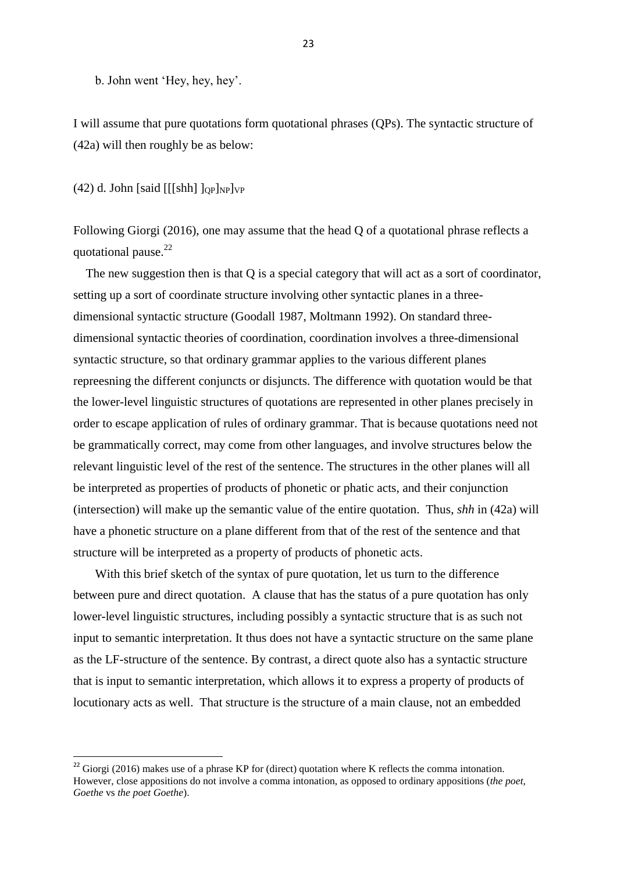b. John went 'Hey, hey, hey'.

I will assume that pure quotations form quotational phrases (QPs). The syntactic structure of (42a) will then roughly be as below:

 $(42)$  d. John [said [[[shh]  $|_{OP}$ ]<sub>NP</sub>]<sub>VP</sub>

 $\overline{a}$ 

Following Giorgi (2016), one may assume that the head Q of a quotational phrase reflects a quotational pause.<sup>22</sup>

 The new suggestion then is that Q is a special category that will act as a sort of coordinator, setting up a sort of coordinate structure involving other syntactic planes in a threedimensional syntactic structure (Goodall 1987, Moltmann 1992). On standard threedimensional syntactic theories of coordination, coordination involves a three-dimensional syntactic structure, so that ordinary grammar applies to the various different planes repreesning the different conjuncts or disjuncts. The difference with quotation would be that the lower-level linguistic structures of quotations are represented in other planes precisely in order to escape application of rules of ordinary grammar. That is because quotations need not be grammatically correct, may come from other languages, and involve structures below the relevant linguistic level of the rest of the sentence. The structures in the other planes will all be interpreted as properties of products of phonetic or phatic acts, and their conjunction (intersection) will make up the semantic value of the entire quotation. Thus, *shh* in (42a) will have a phonetic structure on a plane different from that of the rest of the sentence and that structure will be interpreted as a property of products of phonetic acts.

 With this brief sketch of the syntax of pure quotation, let us turn to the difference between pure and direct quotation. A clause that has the status of a pure quotation has only lower-level linguistic structures, including possibly a syntactic structure that is as such not input to semantic interpretation. It thus does not have a syntactic structure on the same plane as the LF-structure of the sentence. By contrast, a direct quote also has a syntactic structure that is input to semantic interpretation, which allows it to express a property of products of locutionary acts as well. That structure is the structure of a main clause, not an embedded

 $^{22}$  Giorgi (2016) makes use of a phrase KP for (direct) quotation where K reflects the comma intonation. However, close appositions do not involve a comma intonation, as opposed to ordinary appositions (*the poet, Goethe* vs *the poet Goethe*).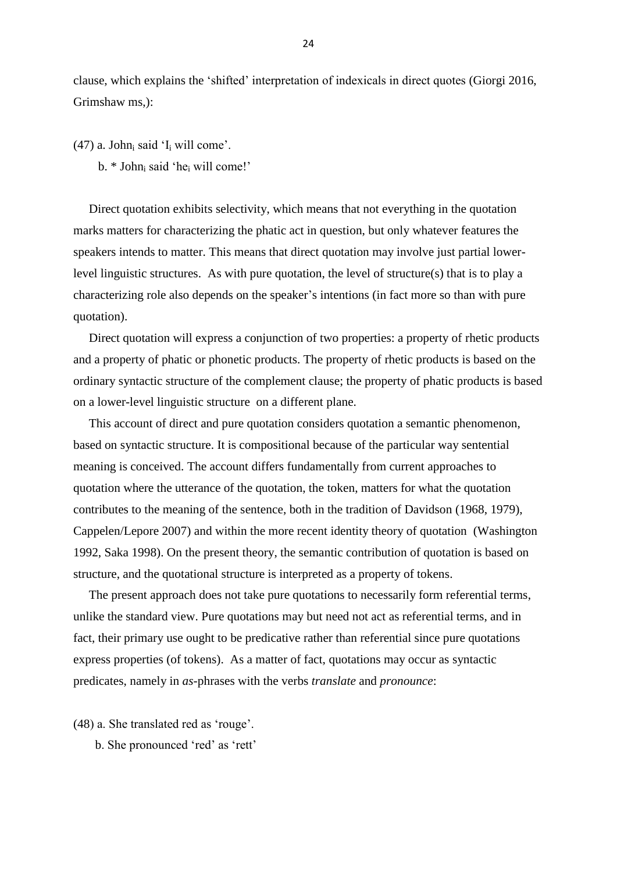clause, which explains the 'shifted' interpretation of indexicals in direct quotes (Giorgi 2016, Grimshaw ms,):

 $(47)$  a. John<sub>i</sub> said 'I<sub>i</sub> will come'.

b. \* John<sup>i</sup> said 'he<sup>i</sup> will come!'

 Direct quotation exhibits selectivity, which means that not everything in the quotation marks matters for characterizing the phatic act in question, but only whatever features the speakers intends to matter. This means that direct quotation may involve just partial lowerlevel linguistic structures. As with pure quotation, the level of structure(s) that is to play a characterizing role also depends on the speaker's intentions (in fact more so than with pure quotation).

 Direct quotation will express a conjunction of two properties: a property of rhetic products and a property of phatic or phonetic products. The property of rhetic products is based on the ordinary syntactic structure of the complement clause; the property of phatic products is based on a lower-level linguistic structure on a different plane.

 This account of direct and pure quotation considers quotation a semantic phenomenon, based on syntactic structure. It is compositional because of the particular way sentential meaning is conceived. The account differs fundamentally from current approaches to quotation where the utterance of the quotation, the token, matters for what the quotation contributes to the meaning of the sentence, both in the tradition of Davidson (1968, 1979), Cappelen/Lepore 2007) and within the more recent identity theory of quotation (Washington 1992, Saka 1998). On the present theory, the semantic contribution of quotation is based on structure, and the quotational structure is interpreted as a property of tokens.

 The present approach does not take pure quotations to necessarily form referential terms, unlike the standard view. Pure quotations may but need not act as referential terms, and in fact, their primary use ought to be predicative rather than referential since pure quotations express properties (of tokens). As a matter of fact, quotations may occur as syntactic predicates, namely in *as*-phrases with the verbs *translate* and *pronounce*:

(48) a. She translated red as 'rouge'.

b. She pronounced 'red' as 'rett'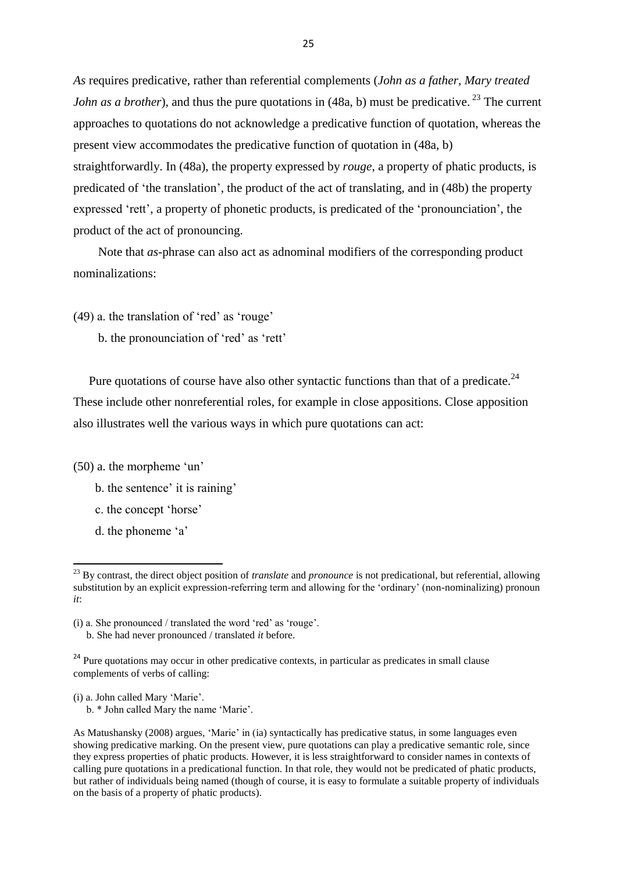*As* requires predicative, rather than referential complements (*John as a father, Mary treated John as a brother*), and thus the pure quotations in (48a, b) must be predicative.<sup>23</sup> The current approaches to quotations do not acknowledge a predicative function of quotation, whereas the present view accommodates the predicative function of quotation in (48a, b) straightforwardly. In (48a), the property expressed by *rouge*, a property of phatic products, is predicated of 'the translation', the product of the act of translating, and in (48b) the property expressed 'rett', a property of phonetic products, is predicated of the 'pronounciation', the product of the act of pronouncing.

 Note that *as*-phrase can also act as adnominal modifiers of the corresponding product nominalizations:

(49) a. the translation of 'red' as 'rouge'

b. the pronounciation of 'red' as 'rett'

Pure quotations of course have also other syntactic functions than that of a predicate.<sup>24</sup> These include other nonreferential roles, for example in close appositions. Close apposition also illustrates well the various ways in which pure quotations can act:

(50) a. the morpheme 'un'

- b. the sentence' it is raining'
- c. the concept 'horse'
- d. the phoneme 'a'

 $\overline{a}$ 

<sup>&</sup>lt;sup>23</sup> By contrast, the direct object position of *translate* and *pronounce* is not predicational, but referential, allowing substitution by an explicit expression-referring term and allowing for the 'ordinary' (non-nominalizing) pronoun *it*:

<sup>(</sup>i) a. She pronounced / translated the word 'red' as 'rouge'. b. She had never pronounced / translated *it* before.

<sup>&</sup>lt;sup>24</sup> Pure quotations may occur in other predicative contexts, in particular as predicates in small clause complements of verbs of calling:

<sup>(</sup>i) a. John called Mary 'Marie'.

b. \* John called Mary the name 'Marie'.

As Matushansky (2008) argues, 'Marie' in (ia) syntactically has predicative status, in some languages even showing predicative marking. On the present view, pure quotations can play a predicative semantic role, since they express properties of phatic products. However, it is less straightforward to consider names in contexts of calling pure quotations in a predicational function. In that role, they would not be predicated of phatic products, but rather of individuals being named (though of course, it is easy to formulate a suitable property of individuals on the basis of a property of phatic products).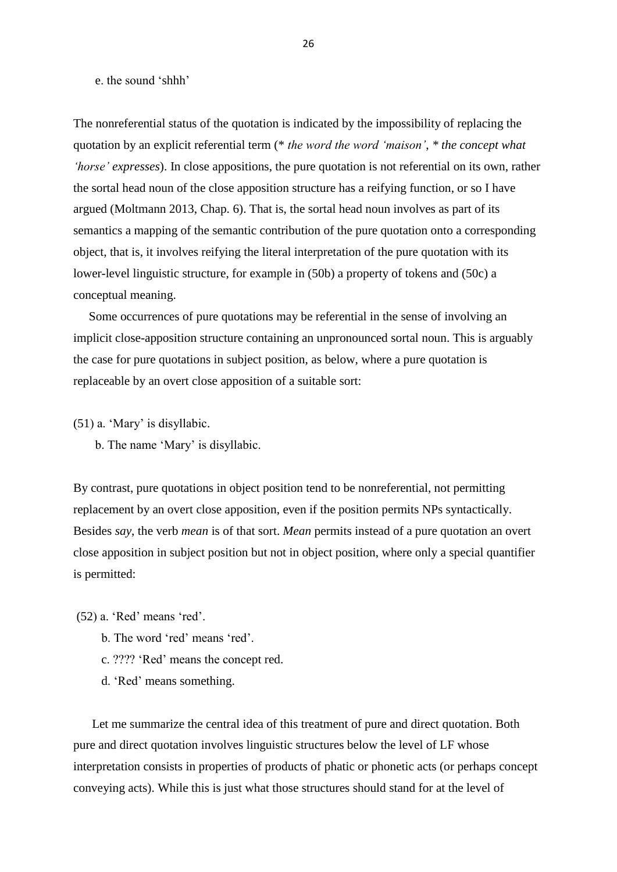#### e. the sound 'shhh'

The nonreferential status of the quotation is indicated by the impossibility of replacing the quotation by an explicit referential term (\* *the word the word 'maison'*, *\* the concept what 'horse' expresses*). In close appositions, the pure quotation is not referential on its own, rather the sortal head noun of the close apposition structure has a reifying function, or so I have argued (Moltmann 2013, Chap. 6). That is, the sortal head noun involves as part of its semantics a mapping of the semantic contribution of the pure quotation onto a corresponding object, that is, it involves reifying the literal interpretation of the pure quotation with its lower-level linguistic structure, for example in (50b) a property of tokens and (50c) a conceptual meaning.

 Some occurrences of pure quotations may be referential in the sense of involving an implicit close-apposition structure containing an unpronounced sortal noun. This is arguably the case for pure quotations in subject position, as below, where a pure quotation is replaceable by an overt close apposition of a suitable sort:

(51) a. 'Mary' is disyllabic.

b. The name 'Mary' is disyllabic.

By contrast, pure quotations in object position tend to be nonreferential, not permitting replacement by an overt close apposition, even if the position permits NPs syntactically. Besides *say*, the verb *mean* is of that sort. *Mean* permits instead of a pure quotation an overt close apposition in subject position but not in object position, where only a special quantifier is permitted:

(52) a. 'Red' means 'red'.

- b. The word 'red' means 'red'.
- c. ???? 'Red' means the concept red.
- d. 'Red' means something.

 Let me summarize the central idea of this treatment of pure and direct quotation. Both pure and direct quotation involves linguistic structures below the level of LF whose interpretation consists in properties of products of phatic or phonetic acts (or perhaps concept conveying acts). While this is just what those structures should stand for at the level of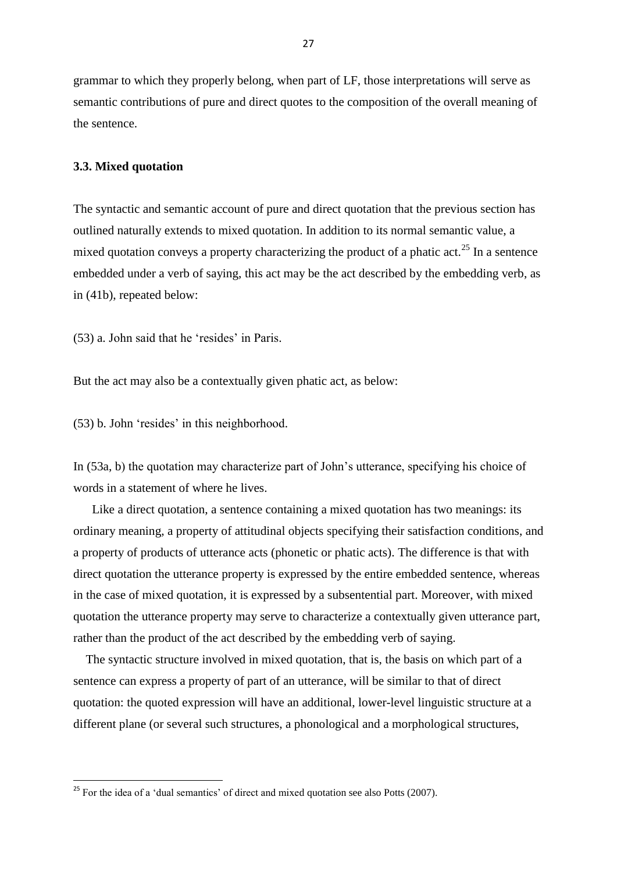grammar to which they properly belong, when part of LF, those interpretations will serve as semantic contributions of pure and direct quotes to the composition of the overall meaning of the sentence.

# **3.3. Mixed quotation**

**.** 

The syntactic and semantic account of pure and direct quotation that the previous section has outlined naturally extends to mixed quotation. In addition to its normal semantic value, a mixed quotation conveys a property characterizing the product of a phatic act.<sup>25</sup> In a sentence embedded under a verb of saying, this act may be the act described by the embedding verb, as in (41b), repeated below:

(53) a. John said that he 'resides' in Paris.

But the act may also be a contextually given phatic act, as below:

(53) b. John 'resides' in this neighborhood.

In (53a, b) the quotation may characterize part of John's utterance, specifying his choice of words in a statement of where he lives.

 Like a direct quotation, a sentence containing a mixed quotation has two meanings: its ordinary meaning, a property of attitudinal objects specifying their satisfaction conditions, and a property of products of utterance acts (phonetic or phatic acts). The difference is that with direct quotation the utterance property is expressed by the entire embedded sentence, whereas in the case of mixed quotation, it is expressed by a subsentential part. Moreover, with mixed quotation the utterance property may serve to characterize a contextually given utterance part, rather than the product of the act described by the embedding verb of saying.

 The syntactic structure involved in mixed quotation, that is, the basis on which part of a sentence can express a property of part of an utterance, will be similar to that of direct quotation: the quoted expression will have an additional, lower-level linguistic structure at a different plane (or several such structures, a phonological and a morphological structures,

 $25$  For the idea of a 'dual semantics' of direct and mixed quotation see also Potts (2007).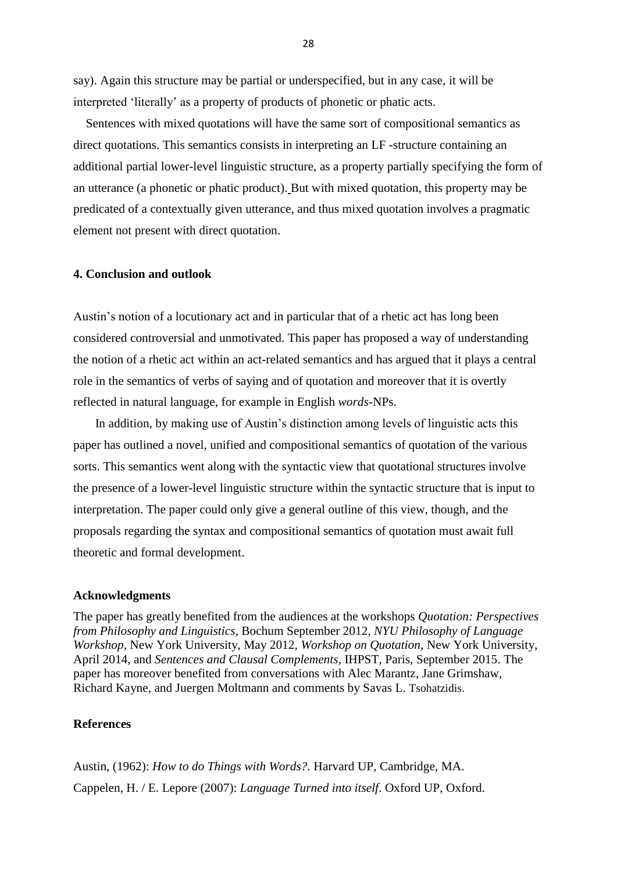say). Again this structure may be partial or underspecified, but in any case, it will be interpreted 'literally' as a property of products of phonetic or phatic acts.

 Sentences with mixed quotations will have the same sort of compositional semantics as direct quotations. This semantics consists in interpreting an LF -structure containing an additional partial lower-level linguistic structure, as a property partially specifying the form of an utterance (a phonetic or phatic product). But with mixed quotation, this property may be predicated of a contextually given utterance, and thus mixed quotation involves a pragmatic element not present with direct quotation.

#### **4. Conclusion and outlook**

Austin's notion of a locutionary act and in particular that of a rhetic act has long been considered controversial and unmotivated. This paper has proposed a way of understanding the notion of a rhetic act within an act-related semantics and has argued that it plays a central role in the semantics of verbs of saying and of quotation and moreover that it is overtly reflected in natural language, for example in English *words*-NPs.

 In addition, by making use of Austin's distinction among levels of linguistic acts this paper has outlined a novel, unified and compositional semantics of quotation of the various sorts. This semantics went along with the syntactic view that quotational structures involve the presence of a lower-level linguistic structure within the syntactic structure that is input to interpretation. The paper could only give a general outline of this view, though, and the proposals regarding the syntax and compositional semantics of quotation must await full theoretic and formal development.

#### **Acknowledgments**

The paper has greatly benefited from the audiences at the workshops *Quotation: Perspectives from Philosophy and Linguistics*, Bochum September 2012, *NYU Philosophy of Language Workshop*, New York University, May 2012, *Workshop on Quotation*, New York University, April 2014, and *Sentences and Clausal Complements*, IHPST, Paris, September 2015. The paper has moreover benefited from conversations with Alec Marantz, Jane Grimshaw, Richard Kayne, and Juergen Moltmann and comments by Savas L. Tsohatzidis.

#### **References**

Austin, (1962): *How to do Things with Words?.* Harvard UP, Cambridge, MA. Cappelen, H. / E. Lepore (2007): *Language Turned into itself*. Oxford UP, Oxford.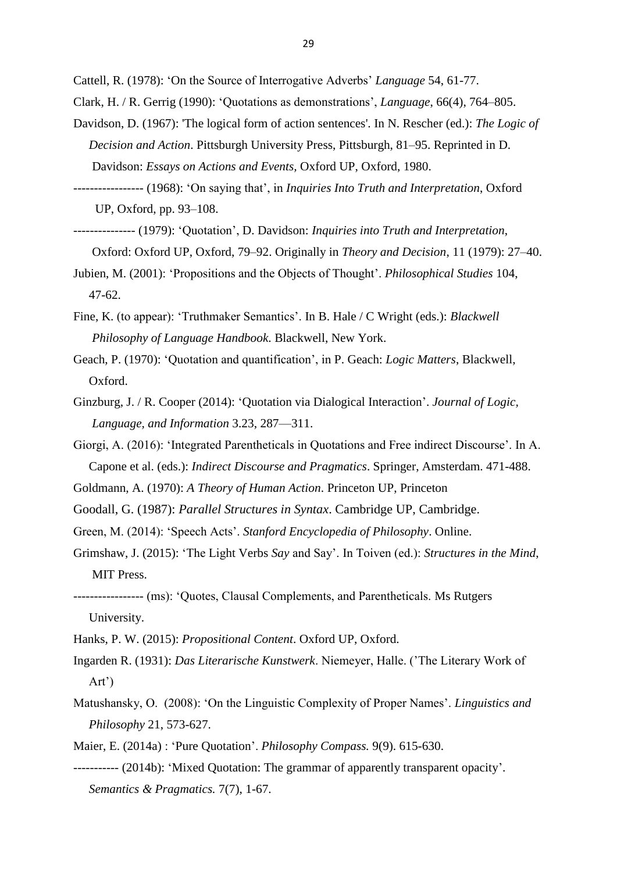Cattell, R. (1978): 'On the Source of Interrogative Adverbs' *Language* 54, 61-77.

- Clark, H. / R. Gerrig (1990): 'Quotations as demonstrations', *Language*, 66(4), 764–805.
- Davidson, D. (1967): 'The logical form of action sentences'. In N. Rescher (ed.): *The Logic of Decision and Action*. Pittsburgh University Press, Pittsburgh, 81–95. Reprinted in D. Davidson: *Essays on Actions and Events,* Oxford UP, Oxford, 1980.
- ----------------- (1968): 'On saying that', in *Inquiries Into Truth and Interpretation*, Oxford UP, Oxford, pp. 93–108.
- --------------- (1979): 'Quotation', D. Davidson: *Inquiries into Truth and Interpretation*, Oxford: Oxford UP, Oxford, 79–92. Originally in *Theory and Decision*, 11 (1979): 27–40.
- Jubien, M. (2001): 'Propositions and the Objects of Thought'. *Philosophical Studies* 104, 47-62.
- Fine, K. (to appear): 'Truthmaker Semantics'. In B. Hale / C Wright (eds.): *Blackwell Philosophy of Language Handbook*. Blackwell, New York.
- Geach, P. (1970): 'Quotation and quantification', in P. Geach: *Logic Matters*, Blackwell, Oxford.
- Ginzburg, J. / R. Cooper (2014): 'Quotation via Dialogical Interaction'. *Journal of Logic, Language, and Information* 3.23, 287—311.
- Giorgi, A. (2016): 'Integrated Parentheticals in Quotations and Free indirect Discourse'. In A. Capone et al. (eds.): *Indirect Discourse and Pragmatics*. Springer, Amsterdam. 471-488.
- Goldmann, A. (1970): *A Theory of Human Action*. Princeton UP, Princeton
- Goodall, G. (1987): *Parallel Structures in Syntax*. Cambridge UP, Cambridge.
- Green, M. (2014): 'Speech Acts'. *Stanford Encyclopedia of Philosophy*. Online.
- Grimshaw, J. (2015): 'The Light Verbs *Say* and Say'. In Toiven (ed.): *Structures in the Mind*, MIT Press.
- ----------------- (ms): 'Quotes, Clausal Complements, and Parentheticals. Ms Rutgers University.
- Hanks, P. W. (2015): *Propositional Content*. Oxford UP, Oxford.
- Ingarden R. (1931): *Das Literarische Kunstwerk*. Niemeyer, Halle. ('The Literary Work of Art')
- Matushansky, O. (2008): 'On the Linguistic Complexity of Proper Names'. *Linguistics and Philosophy* 21, 573-627.
- Maier, E. (2014a) : ['Pure Quotation'](https://db.tt/JhuE08ZP). *Philosophy Compass.* 9(9). 615-630.
- ----------- (2014b): ['Mixed Quotation: The grammar of apparently transparent opacity'](http://semprag.org/article/view/sp.7.7). *Semantics & Pragmatics.* 7(7), 1-67.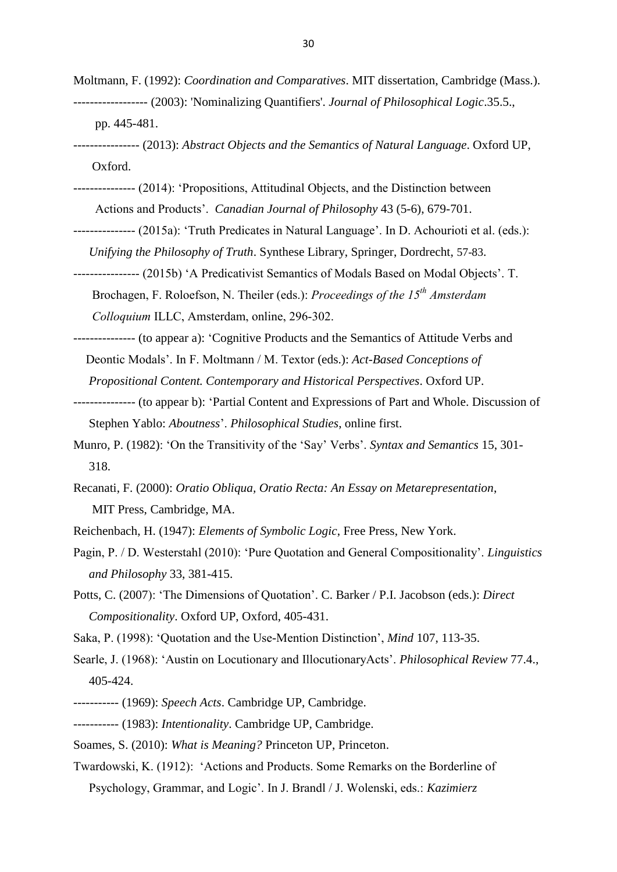Moltmann, F. (1992): *Coordination and Comparatives*. MIT dissertation, Cambridge (Mass.). ------------------ (2003): 'Nominalizing Quantifiers'. *Journal of Philosophical Logic*.35.5., pp. 445-481.

- ---------------- (2013): *Abstract Objects and the Semantics of Natural Language*. Oxford UP, Oxford.
- --------------- (2014): 'Propositions, Attitudinal Objects, and the Distinction between Actions and Products'. *Canadian Journal of Philosophy* 43 (5-6), 679-701.
- --------------- (2015a): 'Truth Predicates in Natural Language'. In D. Achourioti et al. (eds.): *Unifying the Philosophy of Truth*. Synthese Library, Springer, Dordrecht, 57-83.
- ---------------- (2015b) 'A Predicativist Semantics of Modals Based on Modal Objects'. T.
	- Brochagen, F. Roloefson, N. Theiler (eds.): *Proceedings of the 15th Amsterdam Colloquium* ILLC, Amsterdam, online, 296-302.
- --------------- (to appear a): 'Cognitive Products and the Semantics of Attitude Verbs and Deontic Modals'. In F. Moltmann / M. Textor (eds.): *Act-Based Conceptions of Propositional Content. Contemporary and Historical Perspectives*. Oxford UP.
- --------------- (to appear b): 'Partial Content and Expressions of Part and Whole. Discussion of Stephen Yablo: *Aboutness*'. *Philosophical Studies*, online first.
- Munro, P. (1982): 'On the Transitivity of the 'Say' Verbs'. *Syntax and Semantics* 15, 301- 318.
- Recanati, F. (2000): *Oratio Obliqua, Oratio Recta: An Essay on Metarepresentation*, MIT Press, Cambridge, MA.
- Reichenbach, H. (1947): *Elements of Symbolic Logic*, Free Press, New York.
- Pagin, P. / D. Westerstahl (2010): 'Pure Quotation and General Compositionality'. *Linguistics and Philosophy* 33, 381-415.
- Potts, C. (2007): 'The Dimensions of Quotation'. C. Barker / P.I. Jacobson (eds.): *Direct Compositionality*. Oxford UP, Oxford, 405-431.
- Saka, P. (1998): 'Quotation and the Use-Mention Distinction', *Mind* 107, 113-35.
- Searle, J. (1968): 'Austin on Locutionary and IllocutionaryActs'. *Philosophical Review* 77.4., 405-424.
- ----------- (1969): *Speech Acts*. Cambridge UP, Cambridge.
- ----------- (1983): *Intentionality*. Cambridge UP, Cambridge.
- Soames, S. (2010): *What is Meaning?* Princeton UP, Princeton.
- Twardowski, K. (1912): 'Actions and Products. Some Remarks on the Borderline of Psychology, Grammar, and Logic'. In J. Brandl / J. Wolenski, eds.: *Kazimierz*